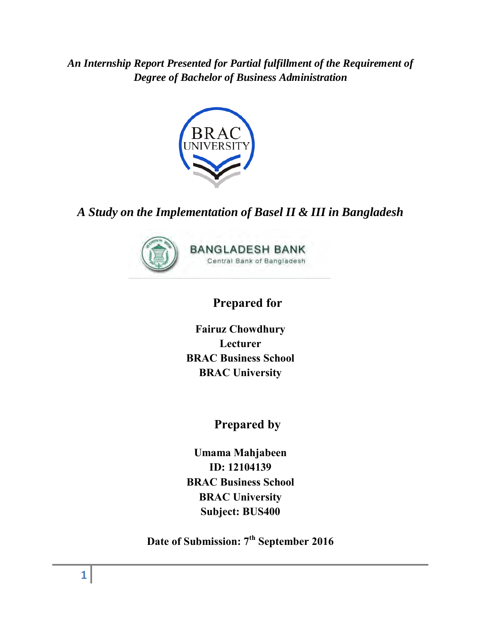*An Internship Report Presented for Partial fulfillment of the Requirement of Degree of Bachelor of Business Administration*



# *A Study on the Implementation of Basel II & III in Bangladesh*



# **Prepared for**

**Fairuz Chowdhury Lecturer BRAC Business School BRAC University** 

**Prepared by**

**Umama Mahjabeen ID: 12104139 BRAC Business School BRAC University Subject: BUS400** 

**Date of Submission: 7th September 2016**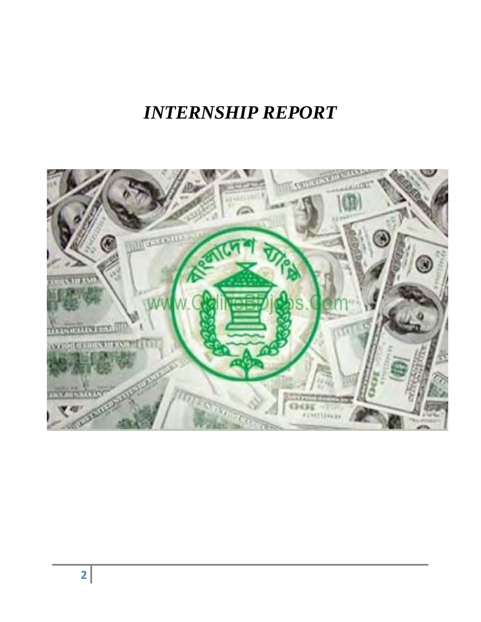# *INTERNSHIP REPORT*

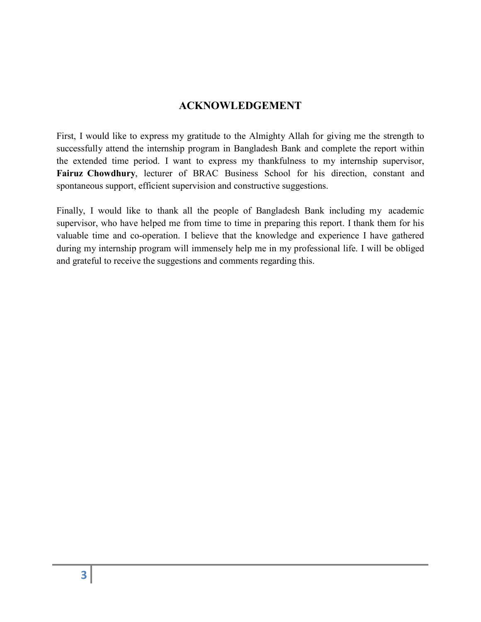# **ACKNOWLEDGEMENT**

First, I would like to express my gratitude to the Almighty Allah for giving me the strength to successfully attend the internship program in Bangladesh Bank and complete the report within the extended time period. I want to express my thankfulness to my internship supervisor, **Fairuz Chowdhury**, lecturer of BRAC Business School for his direction, constant and spontaneous support, efficient supervision and constructive suggestions.

Finally, I would like to thank all the people of Bangladesh Bank including my academic supervisor, who have helped me from time to time in preparing this report. I thank them for his valuable time and co-operation. I believe that the knowledge and experience I have gathered during my internship program will immensely help me in my professional life. I will be obliged and grateful to receive the suggestions and comments regarding this.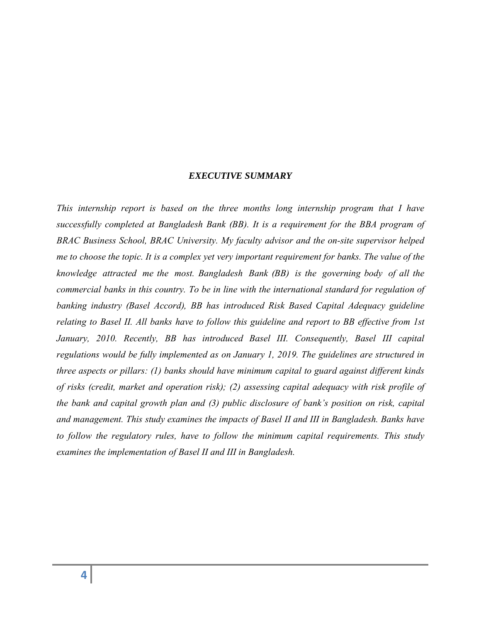#### *EXECUTIVE SUMMARY*

*This internship report is based on the three months long internship program that I have successfully completed at Bangladesh Bank (BB). It is a requirement for the BBA program of BRAC Business School, BRAC University. My faculty advisor and the on-site supervisor helped me to choose the topic. It is a complex yet very important requirement for banks. The value of the knowledge attracted me the most. Bangladesh Bank (BB) is the governing body of all the commercial banks in this country. To be in line with the international standard for regulation of banking industry (Basel Accord), BB has introduced Risk Based Capital Adequacy guideline relating to Basel II. All banks have to follow this guideline and report to BB effective from 1st*  January, 2010. Recently, BB has introduced Basel III. Consequently, Basel III capital *regulations would be fully implemented as on January 1, 2019. The guidelines are structured in three aspects or pillars: (1) banks should have minimum capital to guard against different kinds of risks (credit, market and operation risk); (2) assessing capital adequacy with risk profile of the bank and capital growth plan and (3) public disclosure of bank's position on risk, capital and management. This study examines the impacts of Basel II and III in Bangladesh. Banks have to follow the regulatory rules, have to follow the minimum capital requirements. This study examines the implementation of Basel II and III in Bangladesh.*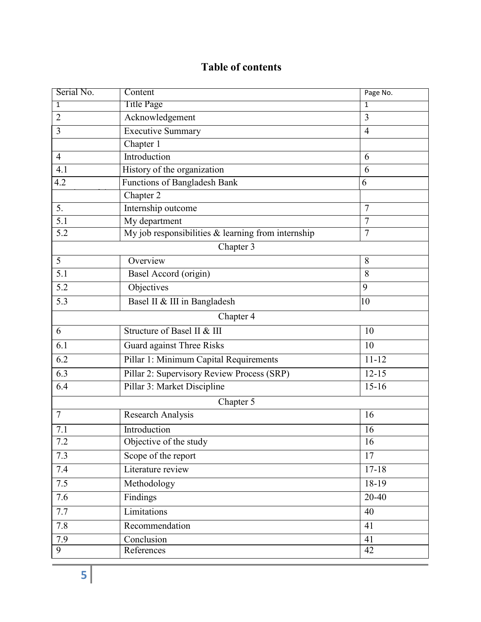# **Table of contents**

| Serial No.     | Content                                            | Page No.       |
|----------------|----------------------------------------------------|----------------|
| 1              | <b>Title Page</b>                                  | 1              |
| $\overline{2}$ | Acknowledgement                                    | 3              |
| 3              | <b>Executive Summary</b>                           | $\overline{4}$ |
|                | Chapter 1                                          |                |
| $\overline{4}$ | Introduction                                       | 6              |
| 4.1            | History of the organization                        | 6              |
| 4.2            | Functions of Bangladesh Bank                       | 6              |
|                | Chapter 2                                          |                |
| 5.             | Internship outcome                                 | $\overline{7}$ |
| 5.1            | My department                                      | $\overline{7}$ |
| 5.2            | My job responsibilities & learning from internship | $\overline{7}$ |
|                | Chapter 3                                          |                |
| 5              | Overview                                           | 8              |
| 5.1            | Basel Accord (origin)                              | 8              |
| 5.2            | Objectives                                         | 9              |
| 5.3            | Basel II & III in Bangladesh                       | 10             |
|                | Chapter 4                                          |                |
| 6              | Structure of Basel II & III                        | 10             |
| 6.1            | Guard against Three Risks                          | 10             |
| 6.2            | Pillar 1: Minimum Capital Requirements             | $11 - 12$      |
| 6.3            | Pillar 2: Supervisory Review Process (SRP)         | $12 - 15$      |
| 6.4            | Pillar 3: Market Discipline                        | $15 - 16$      |
|                | Chapter 5                                          |                |
| $\overline{7}$ | Research Analysis                                  | 16             |
| 7.1            | Introduction                                       | 16             |
| 7.2            | Objective of the study                             | 16             |
| 7.3            | Scope of the report                                | 17             |
| 7.4            | Literature review                                  | $17 - 18$      |
| 7.5            | Methodology                                        | 18-19          |
| 7.6            | Findings                                           | 20-40          |
| 7.7            | Limitations                                        | 40             |
| 7.8            | Recommendation                                     | 41             |
| 7.9            | Conclusion                                         | 41             |
| 9              | References                                         | 42             |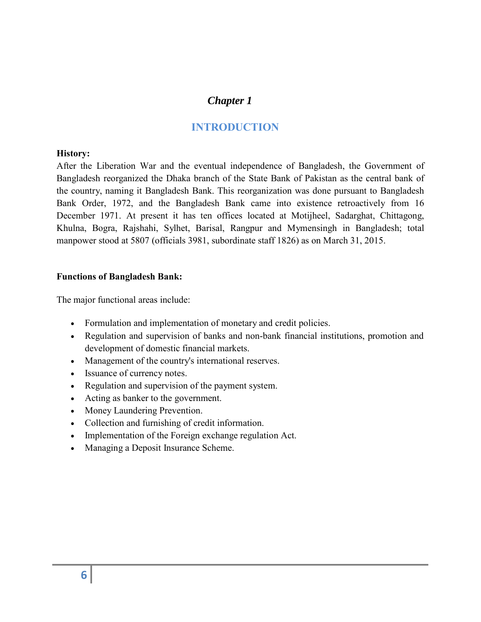# *Chapter 1*

# **INTRODUCTION**

#### **History:**

After the [Liberation War a](https://en.wikipedia.org/wiki/Bangladesh_Liberation_War)nd the eventual independence of Bangladesh, the Government of Bangladesh reorganized the [Dhaka b](https://en.wikipedia.org/wiki/Dhaka)ranch of the [State Bank of Pakistan](https://en.wikipedia.org/wiki/State_Bank_of_Pakistan) as the [central bank](https://en.wikipedia.org/wiki/Central_bank) of the country, naming it Bangladesh Bank. This reorganization was done pursuant to Bangladesh Bank Order, 1972, and the Bangladesh Bank came into existence retroactively from 16 December 1971. At present it has ten offices located at Motijheel, Sadarghat, Chittagong, Khulna, Bogra, Rajshahi, Sylhet, Barisal, Rangpur and Mymensingh in Bangladesh; total manpower stood at 5807 (officials 3981, subordinate staff 1826) as on March 31, 2015.

#### **Functions of Bangladesh Bank:**

The major functional areas include:

- Formulation and implementation of monetary and credit policies.
- Regulation and supervision of banks and non-bank financial institutions, promotion and development of domestic financial markets.
- Management of the country's international reserves.
- Issuance of currency notes.
- Regulation and supervision of the payment system.
- Acting as banker to the government.
- Money Laundering Prevention.
- Collection and furnishing of credit information.
- Implementation of the Foreign exchange regulation Act.
- Managing a Deposit Insurance Scheme.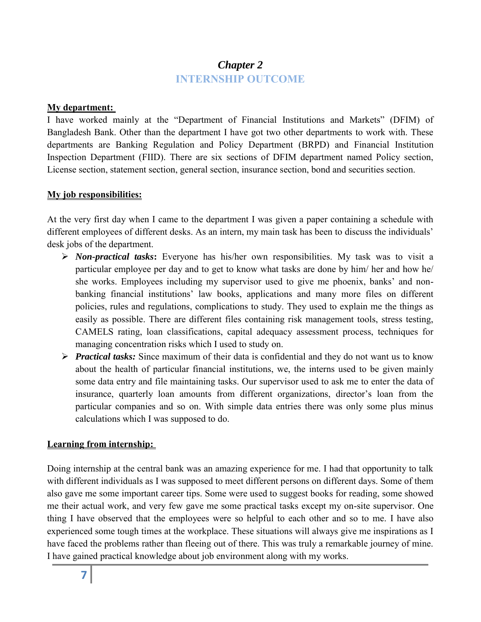# *Chapter 2*  **INTERNSHIP OUTCOME**

#### **My department:**

I have worked mainly at the "Department of Financial Institutions and Markets" (DFIM) of Bangladesh Bank. Other than the department I have got two other departments to work with. These departments are Banking Regulation and Policy Department (BRPD) and Financial Institution Inspection Department (FIID). There are six sections of DFIM department named Policy section, License section, statement section, general section, insurance section, bond and securities section.

#### **My job responsibilities:**

At the very first day when I came to the department I was given a paper containing a schedule with different employees of different desks. As an intern, my main task has been to discuss the individuals' desk jobs of the department.

- *Non-practical tasks***:** Everyone has his/her own responsibilities. My task was to visit a particular employee per day and to get to know what tasks are done by him/ her and how he/ she works. Employees including my supervisor used to give me phoenix, banks' and nonbanking financial institutions' law books, applications and many more files on different policies, rules and regulations, complications to study. They used to explain me the things as easily as possible. There are different files containing risk management tools, stress testing, CAMELS rating, loan classifications, capital adequacy assessment process, techniques for managing concentration risks which I used to study on.
- *Practical tasks:* Since maximum of their data is confidential and they do not want us to know about the health of particular financial institutions, we, the interns used to be given mainly some data entry and file maintaining tasks. Our supervisor used to ask me to enter the data of insurance, quarterly loan amounts from different organizations, director's loan from the particular companies and so on. With simple data entries there was only some plus minus calculations which I was supposed to do.

#### **Learning from internship:**

Doing internship at the central bank was an amazing experience for me. I had that opportunity to talk with different individuals as I was supposed to meet different persons on different days. Some of them also gave me some important career tips. Some were used to suggest books for reading, some showed me their actual work, and very few gave me some practical tasks except my on-site supervisor. One thing I have observed that the employees were so helpful to each other and so to me. I have also experienced some tough times at the workplace. These situations will always give me inspirations as I have faced the problems rather than fleeing out of there. This was truly a remarkable journey of mine. I have gained practical knowledge about job environment along with my works.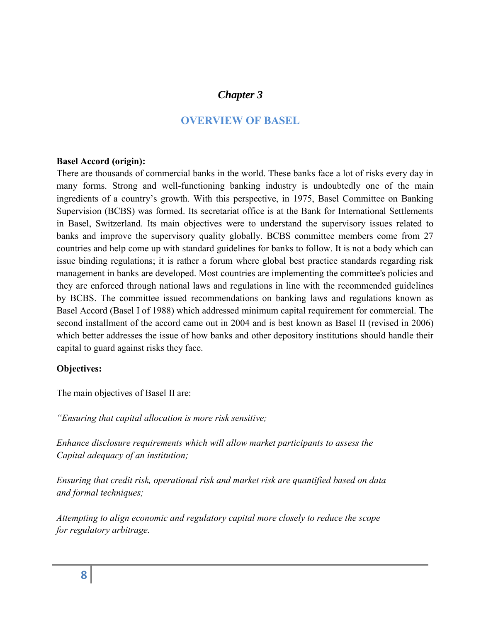# *Chapter 3*

# **OVERVIEW OF BASEL**

#### **Basel Accord (origin):**

There are thousands of commercial banks in the world. These banks face a lot of risks every day in many forms. Strong and well-functioning banking industry is undoubtedly one of the main ingredients of a country's growth. With this perspective, in 1975, Basel Committee on Banking Supervision (BCBS) was formed. Its secretariat office is at the Bank for International Settlements in Basel, Switzerland. Its main objectives were to understand the supervisory issues related to banks and improve the supervisory quality globally. BCBS committee members come from 27 countries and help come up with standard guidelines for banks to follow. It is not a body which can issue binding regulations; it is rather a forum where global best practice standards regarding risk management in banks are developed. Most countries are implementing the committee's policies and they are enforced through national laws and regulations in line with the recommended guidelines by BCBS. The committee issued recommendations on banking laws and regulations known as Basel Accord (Basel I of 1988) which addressed minimum capital requirement for commercial. The second installment of the accord came out in 2004 and is best known as Basel II (revised in 2006) which better addresses the issue of how banks and other depository institutions should handle their capital to guard against risks they face.

#### **Objectives:**

The main objectives of Basel II are:

*"Ensuring that capital allocation is more risk sensitive;*

*Enhance disclosure requirements which will allow market participants to assess the Capital adequacy of an institution;*

*Ensuring that credit risk, operational risk and market risk are quantified based on data and formal techniques;*

*Attempting to align economic and regulatory capital more closely to reduce the scope for regulatory arbitrage.*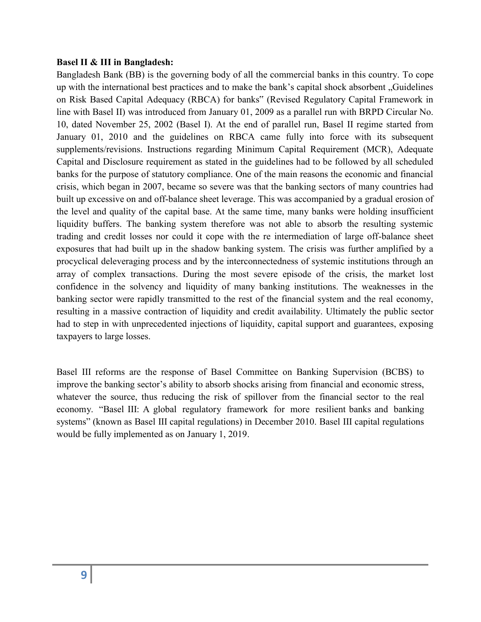#### **Basel II & III in Bangladesh:**

Bangladesh Bank (BB) is the governing body of all the commercial banks in this country. To cope up with the international best practices and to make the bank's capital shock absorbent "Guidelines" on Risk Based Capital Adequacy (RBCA) for banks" (Revised Regulatory Capital Framework in line with Basel II) was introduced from January 01, 2009 as a parallel run with BRPD Circular No. 10, dated November 25, 2002 (Basel I). At the end of parallel run, Basel II regime started from January 01, 2010 and the guidelines on RBCA came fully into force with its subsequent supplements/revisions. Instructions regarding Minimum Capital Requirement (MCR), Adequate Capital and Disclosure requirement as stated in the guidelines had to be followed by all scheduled banks for the purpose of statutory compliance. One of the main reasons the economic and financial crisis, which began in 2007, became so severe was that the banking sectors of many countries had built up excessive on and off-balance sheet leverage. This was accompanied by a gradual erosion of the level and quality of the capital base. At the same time, many banks were holding insufficient liquidity buffers. The banking system therefore was not able to absorb the resulting systemic trading and credit losses nor could it cope with the re intermediation of large off-balance sheet exposures that had built up in the shadow banking system. The crisis was further amplified by a procyclical deleveraging process and by the interconnectedness of systemic institutions through an array of complex transactions. During the most severe episode of the crisis, the market lost confidence in the solvency and liquidity of many banking institutions. The weaknesses in the banking sector were rapidly transmitted to the rest of the financial system and the real economy, resulting in a massive contraction of liquidity and credit availability. Ultimately the public sector had to step in with unprecedented injections of liquidity, capital support and guarantees, exposing taxpayers to large losses.

Basel III reforms are the response of Basel Committee on Banking Supervision (BCBS) to improve the banking sector's ability to absorb shocks arising from financial and economic stress, whatever the source, thus reducing the risk of spillover from the financial sector to the real economy. "Basel III: A global regulatory framework for more resilient banks and banking systems" (known as Basel III capital regulations) in December 2010. Basel III capital regulations would be fully implemented as on January 1, 2019.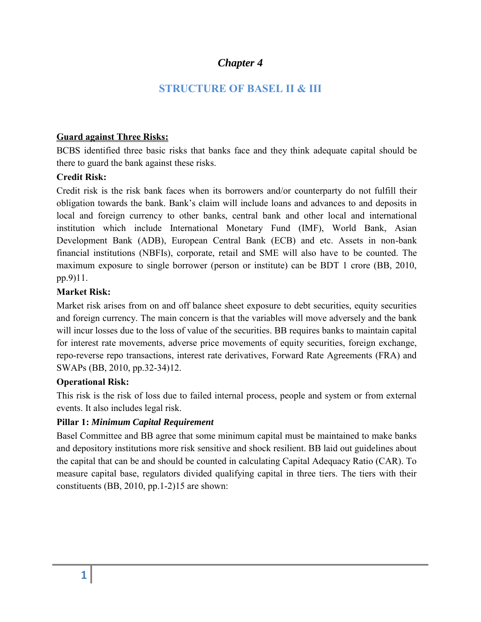# *Chapter 4*

# **STRUCTURE OF BASEL II & III**

#### **Guard against Three Risks:**

BCBS identified three basic risks that banks face and they think adequate capital should be there to guard the bank against these risks.

#### **Credit Risk:**

Credit risk is the risk bank faces when its borrowers and/or counterparty do not fulfill their obligation towards the bank. Bank's claim will include loans and advances to and deposits in local and foreign currency to other banks, central bank and other local and international institution which include International Monetary Fund (IMF), World Bank, Asian Development Bank (ADB), European Central Bank (ECB) and etc. Assets in non-bank financial institutions (NBFIs), corporate, retail and SME will also have to be counted. The maximum exposure to single borrower (person or institute) can be BDT 1 crore (BB, 2010, pp.9)11.

### **Market Risk:**

Market risk arises from on and off balance sheet exposure to debt securities, equity securities and foreign currency. The main concern is that the variables will move adversely and the bank will incur losses due to the loss of value of the securities. BB requires banks to maintain capital for interest rate movements, adverse price movements of equity securities, foreign exchange, repo-reverse repo transactions, interest rate derivatives, Forward Rate Agreements (FRA) and SWAPs (BB, 2010, pp.32-34)12.

#### **Operational Risk:**

This risk is the risk of loss due to failed internal process, people and system or from external events. It also includes legal risk.

#### **Pillar 1:** *Minimum Capital Requirement*

Basel Committee and BB agree that some minimum capital must be maintained to make banks and depository institutions more risk sensitive and shock resilient. BB laid out guidelines about the capital that can be and should be counted in calculating Capital Adequacy Ratio (CAR). To measure capital base, regulators divided qualifying capital in three tiers. The tiers with their constituents (BB, 2010, pp.1-2)15 are shown: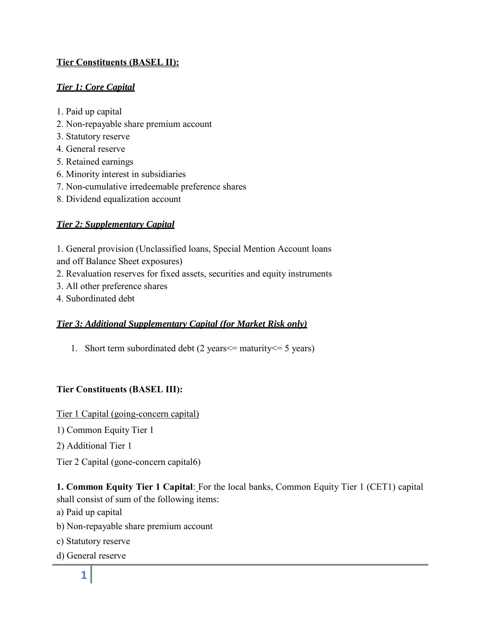# **Tier Constituents (BASEL II):**

# *Tier 1: Core Capital*

- 1. Paid up capital
- 2. Non-repayable share premium account
- 3. Statutory reserve
- 4. General reserve
- 5. Retained earnings
- 6. Minority interest in subsidiaries
- 7. Non-cumulative irredeemable preference shares
- 8. Dividend equalization account

# *Tier 2: Supplementary Capital*

1. General provision (Unclassified loans, Special Mention Account loans and off Balance Sheet exposures)

- 2. Revaluation reserves for fixed assets, securities and equity instruments
- 3. All other preference shares
- 4. Subordinated debt

#### *Tier 3: Additional Supplementary Capital (for Market Risk only)*

1. Short term subordinated debt (2 years  $\leq$  maturity  $\leq$  5 years)

# **Tier Constituents (BASEL III):**

Tier 1 Capital (going-concern capital)

1) Common Equity Tier 1

2) Additional Tier 1

Tier 2 Capital (gone-concern capital6)

**1. Common Equity Tier 1 Capital**: For the local banks, Common Equity Tier 1 (CET1) capital shall consist of sum of the following items:

- a) Paid up capital
- b) Non-repayable share premium account
- c) Statutory reserve
- d) General reserve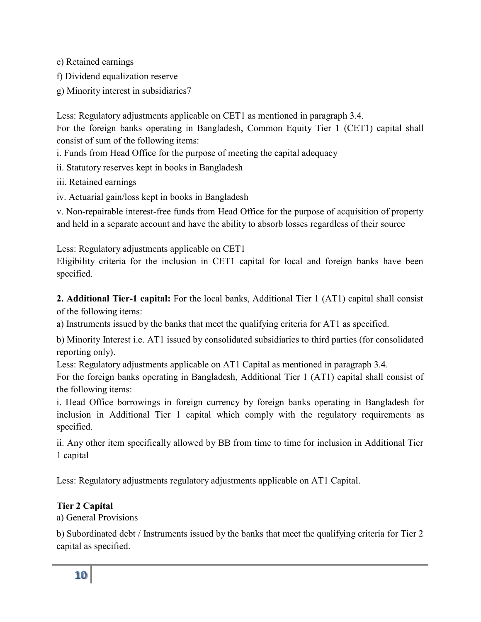e) Retained earnings

f) Dividend equalization reserve

g) Minority interest in subsidiaries7

Less: Regulatory adjustments applicable on CET1 as mentioned in paragraph 3.4.

For the foreign banks operating in Bangladesh, Common Equity Tier 1 (CET1) capital shall consist of sum of the following items:

i. Funds from Head Office for the purpose of meeting the capital adequacy

ii. Statutory reserves kept in books in Bangladesh

iii. Retained earnings

iv. Actuarial gain/loss kept in books in Bangladesh

v. Non-repairable interest-free funds from Head Office for the purpose of acquisition of property and held in a separate account and have the ability to absorb losses regardless of their source

Less: Regulatory adjustments applicable on CET1

Eligibility criteria for the inclusion in CET1 capital for local and foreign banks have been specified.

**2. Additional Tier-1 capital:** For the local banks, Additional Tier 1 (AT1) capital shall consist of the following items:

a) Instruments issued by the banks that meet the qualifying criteria for AT1 as specified.

b) Minority Interest i.e. AT1 issued by consolidated subsidiaries to third parties (for consolidated reporting only).

Less: Regulatory adjustments applicable on AT1 Capital as mentioned in paragraph 3.4.

For the foreign banks operating in Bangladesh, Additional Tier 1 (AT1) capital shall consist of the following items:

i. Head Office borrowings in foreign currency by foreign banks operating in Bangladesh for inclusion in Additional Tier 1 capital which comply with the regulatory requirements as specified.

ii. Any other item specifically allowed by BB from time to time for inclusion in Additional Tier 1 capital

Less: Regulatory adjustments regulatory adjustments applicable on AT1 Capital.

# **Tier 2 Capital**

a) General Provisions

b) Subordinated debt / Instruments issued by the banks that meet the qualifying criteria for Tier 2 capital as specified.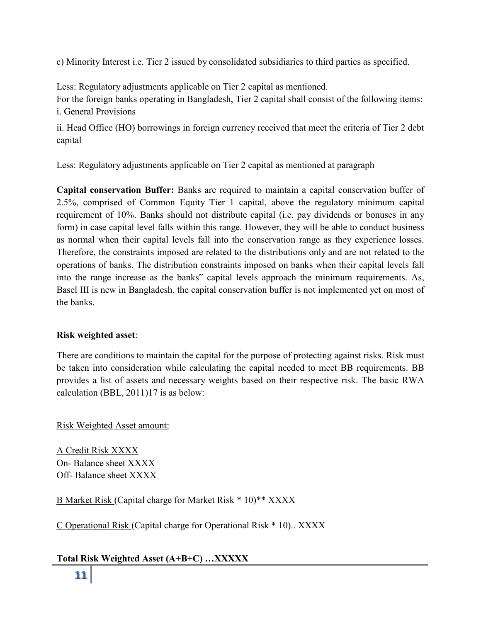c) Minority Interest i.e. Tier 2 issued by consolidated subsidiaries to third parties as specified.

Less: Regulatory adjustments applicable on Tier 2 capital as mentioned.

For the foreign banks operating in Bangladesh, Tier 2 capital shall consist of the following items: i. General Provisions

ii. Head Office (HO) borrowings in foreign currency received that meet the criteria of Tier 2 debt capital

Less: Regulatory adjustments applicable on Tier 2 capital as mentioned at paragraph

**Capital conservation Buffer:** Banks are required to maintain a capital conservation buffer of 2.5%, comprised of Common Equity Tier 1 capital, above the regulatory minimum capital requirement of 10%. Banks should not distribute capital (i.e. pay dividends or bonuses in any form) in case capital level falls within this range. However, they will be able to conduct business as normal when their capital levels fall into the conservation range as they experience losses. Therefore, the constraints imposed are related to the distributions only and are not related to the operations of banks. The distribution constraints imposed on banks when their capital levels fall into the range increase as the banks" capital levels approach the minimum requirements. As, Basel III is new in Bangladesh, the capital conservation buffer is not implemented yet on most of the banks.

#### **Risk weighted asset**:

There are conditions to maintain the capital for the purpose of protecting against risks. Risk must be taken into consideration while calculating the capital needed to meet BB requirements. BB provides a list of assets and necessary weights based on their respective risk. The basic RWA calculation (BBL, 2011)17 is as below:

Risk Weighted Asset amount:

A Credit Risk XXXX On- Balance sheet XXXX Off- Balance sheet XXXX

B Market Risk (Capital charge for Market Risk \* 10)\*\* XXXX

C Operational Risk (Capital charge for Operational Risk \* 10).. XXXX

# **Total Risk Weighted Asset (A+B+C) …XXXXX**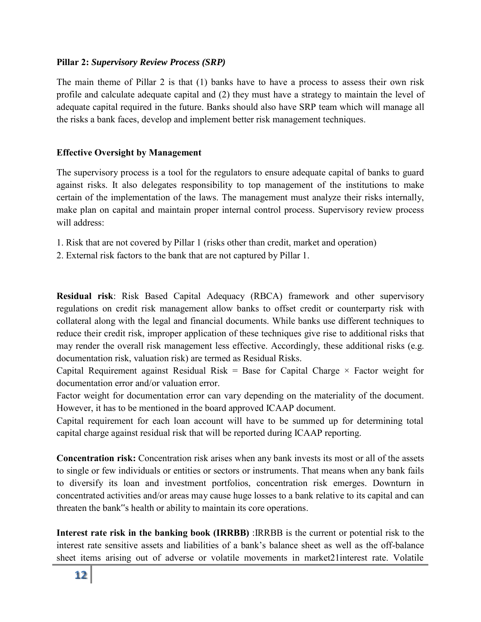#### **Pillar 2:** *Supervisory Review Process (SRP)*

The main theme of Pillar 2 is that (1) banks have to have a process to assess their own risk profile and calculate adequate capital and (2) they must have a strategy to maintain the level of adequate capital required in the future. Banks should also have SRP team which will manage all the risks a bank faces, develop and implement better risk management techniques.

#### **Effective Oversight by Management**

The supervisory process is a tool for the regulators to ensure adequate capital of banks to guard against risks. It also delegates responsibility to top management of the institutions to make certain of the implementation of the laws. The management must analyze their risks internally, make plan on capital and maintain proper internal control process. Supervisory review process will address:

- 1. Risk that are not covered by Pillar 1 (risks other than credit, market and operation)
- 2. External risk factors to the bank that are not captured by Pillar 1.

**Residual risk**: Risk Based Capital Adequacy (RBCA) framework and other supervisory regulations on credit risk management allow banks to offset credit or counterparty risk with collateral along with the legal and financial documents. While banks use different techniques to reduce their credit risk, improper application of these techniques give rise to additional risks that may render the overall risk management less effective. Accordingly, these additional risks (e.g. documentation risk, valuation risk) are termed as Residual Risks.

Capital Requirement against Residual Risk = Base for Capital Charge  $\times$  Factor weight for documentation error and/or valuation error.

Factor weight for documentation error can vary depending on the materiality of the document. However, it has to be mentioned in the board approved ICAAP document.

Capital requirement for each loan account will have to be summed up for determining total capital charge against residual risk that will be reported during ICAAP reporting.

**Concentration risk:** Concentration risk arises when any bank invests its most or all of the assets to single or few individuals or entities or sectors or instruments. That means when any bank fails to diversify its loan and investment portfolios, concentration risk emerges. Downturn in concentrated activities and/or areas may cause huge losses to a bank relative to its capital and can threaten the bank"s health or ability to maintain its core operations.

**Interest rate risk in the banking book (IRRBB)** :IRRBB is the current or potential risk to the interest rate sensitive assets and liabilities of a bank's balance sheet as well as the off-balance sheet items arising out of adverse or volatile movements in market21interest rate. Volatile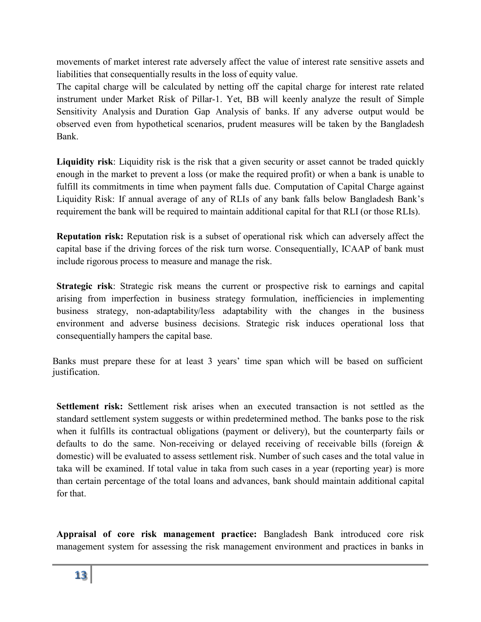movements of market interest rate adversely affect the value of interest rate sensitive assets and liabilities that consequentially results in the loss of equity value.

The capital charge will be calculated by netting off the capital charge for interest rate related instrument under Market Risk of Pillar-1. Yet, BB will keenly analyze the result of Simple Sensitivity Analysis and Duration Gap Analysis of banks. If any adverse output would be observed even from hypothetical scenarios, prudent measures will be taken by the Bangladesh Bank.

**Liquidity risk**: Liquidity risk is the risk that a given security or asset cannot be traded quickly enough in the market to prevent a loss (or make the required profit) or when a bank is unable to fulfill its commitments in time when payment falls due. Computation of Capital Charge against Liquidity Risk: If annual average of any of RLIs of any bank falls below Bangladesh Bank's requirement the bank will be required to maintain additional capital for that RLI (or those RLIs).

**Reputation risk:** Reputation risk is a subset of operational risk which can adversely affect the capital base if the driving forces of the risk turn worse. Consequentially, ICAAP of bank must include rigorous process to measure and manage the risk.

**Strategic risk**: Strategic risk means the current or prospective risk to earnings and capital arising from imperfection in business strategy formulation, inefficiencies in implementing business strategy, non-adaptability/less adaptability with the changes in the business environment and adverse business decisions. Strategic risk induces operational loss that consequentially hampers the capital base.

Banks must prepare these for at least 3 years' time span which will be based on sufficient justification.

**Settlement risk:** Settlement risk arises when an executed transaction is not settled as the standard settlement system suggests or within predetermined method. The banks pose to the risk when it fulfills its contractual obligations (payment or delivery), but the counterparty fails or defaults to do the same. Non-receiving or delayed receiving of receivable bills (foreign & domestic) will be evaluated to assess settlement risk. Number of such cases and the total value in taka will be examined. If total value in taka from such cases in a year (reporting year) is more than certain percentage of the total loans and advances, bank should maintain additional capital for that.

**Appraisal of core risk management practice:** Bangladesh Bank introduced core risk management system for assessing the risk management environment and practices in banks in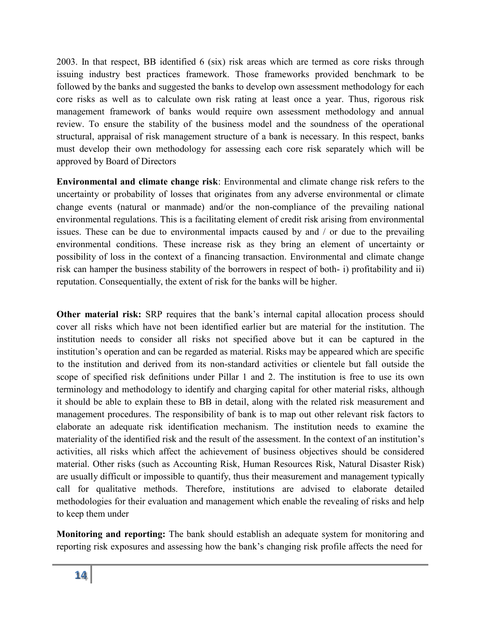2003. In that respect, BB identified 6 (six) risk areas which are termed as core risks through issuing industry best practices framework. Those frameworks provided benchmark to be followed by the banks and suggested the banks to develop own assessment methodology for each core risks as well as to calculate own risk rating at least once a year. Thus, rigorous risk management framework of banks would require own assessment methodology and annual review. To ensure the stability of the business model and the soundness of the operational structural, appraisal of risk management structure of a bank is necessary. In this respect, banks must develop their own methodology for assessing each core risk separately which will be approved by Board of Directors

**Environmental and climate change risk**: Environmental and climate change risk refers to the uncertainty or probability of losses that originates from any adverse environmental or climate change events (natural or manmade) and/or the non-compliance of the prevailing national environmental regulations. This is a facilitating element of credit risk arising from environmental issues. These can be due to environmental impacts caused by and / or due to the prevailing environmental conditions. These increase risk as they bring an element of uncertainty or possibility of loss in the context of a financing transaction. Environmental and climate change risk can hamper the business stability of the borrowers in respect of both- i) profitability and ii) reputation. Consequentially, the extent of risk for the banks will be higher.

**Other material risk:** SRP requires that the bank's internal capital allocation process should cover all risks which have not been identified earlier but are material for the institution. The institution needs to consider all risks not specified above but it can be captured in the institution's operation and can be regarded as material. Risks may be appeared which are specific to the institution and derived from its non-standard activities or clientele but fall outside the scope of specified risk definitions under Pillar 1 and 2. The institution is free to use its own terminology and methodology to identify and charging capital for other material risks, although it should be able to explain these to BB in detail, along with the related risk measurement and management procedures. The responsibility of bank is to map out other relevant risk factors to elaborate an adequate risk identification mechanism. The institution needs to examine the materiality of the identified risk and the result of the assessment. In the context of an institution's activities, all risks which affect the achievement of business objectives should be considered material. Other risks (such as Accounting Risk, Human Resources Risk, Natural Disaster Risk) are usually difficult or impossible to quantify, thus their measurement and management typically call for qualitative methods. Therefore, institutions are advised to elaborate detailed methodologies for their evaluation and management which enable the revealing of risks and help to keep them under

**Monitoring and reporting:** The bank should establish an adequate system for monitoring and reporting risk exposures and assessing how the bank's changing risk profile affects the need for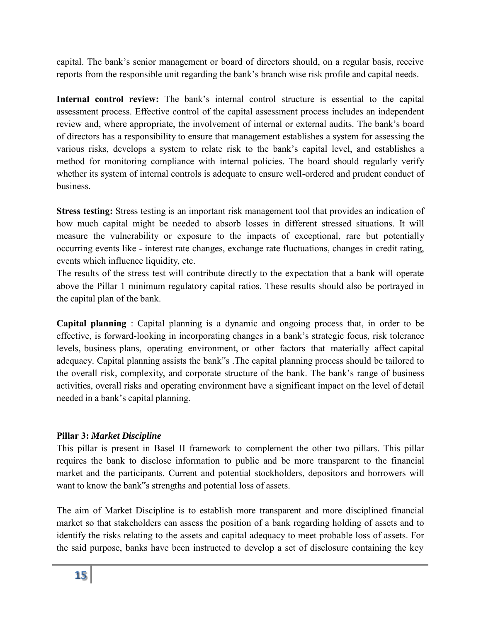capital. The bank's senior management or board of directors should, on a regular basis, receive reports from the responsible unit regarding the bank's branch wise risk profile and capital needs.

Internal control review: The bank's internal control structure is essential to the capital assessment process. Effective control of the capital assessment process includes an independent review and, where appropriate, the involvement of internal or external audits. The bank's board of directors has a responsibility to ensure that management establishes a system for assessing the various risks, develops a system to relate risk to the bank's capital level, and establishes a method for monitoring compliance with internal policies. The board should regularly verify whether its system of internal controls is adequate to ensure well-ordered and prudent conduct of business.

**Stress testing:** Stress testing is an important risk management tool that provides an indication of how much capital might be needed to absorb losses in different stressed situations. It will measure the vulnerability or exposure to the impacts of exceptional, rare but potentially occurring events like - interest rate changes, exchange rate fluctuations, changes in credit rating, events which influence liquidity, etc.

The results of the stress test will contribute directly to the expectation that a bank will operate above the Pillar 1 minimum regulatory capital ratios. These results should also be portrayed in the capital plan of the bank.

**Capital planning** : Capital planning is a dynamic and ongoing process that, in order to be effective, is forward-looking in incorporating changes in a bank's strategic focus, risk tolerance levels, business plans, operating environment, or other factors that materially affect capital adequacy. Capital planning assists the bank"s .The capital planning process should be tailored to the overall risk, complexity, and corporate structure of the bank. The bank's range of business activities, overall risks and operating environment have a significant impact on the level of detail needed in a bank's capital planning.

# **Pillar 3:** *Market Discipline*

This pillar is present in Basel II framework to complement the other two pillars. This pillar requires the bank to disclose information to public and be more transparent to the financial market and the participants. Current and potential stockholders, depositors and borrowers will want to know the bank"s strengths and potential loss of assets.

The aim of Market Discipline is to establish more transparent and more disciplined financial market so that stakeholders can assess the position of a bank regarding holding of assets and to identify the risks relating to the assets and capital adequacy to meet probable loss of assets. For the said purpose, banks have been instructed to develop a set of disclosure containing the key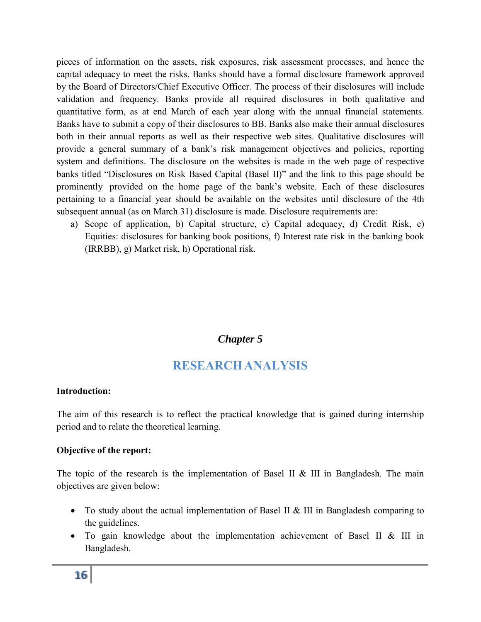pieces of information on the assets, risk exposures, risk assessment processes, and hence the capital adequacy to meet the risks. Banks should have a formal disclosure framework approved by the Board of Directors/Chief Executive Officer. The process of their disclosures will include validation and frequency. Banks provide all required disclosures in both qualitative and quantitative form, as at end March of each year along with the annual financial statements. Banks have to submit a copy of their disclosures to BB. Banks also make their annual disclosures both in their annual reports as well as their respective web sites. Qualitative disclosures will provide a general summary of a bank's risk management objectives and policies, reporting system and definitions. The disclosure on the websites is made in the web page of respective banks titled "Disclosures on Risk Based Capital (Basel II)" and the link to this page should be prominently provided on the home page of the bank's website. Each of these disclosures pertaining to a financial year should be available on the websites until disclosure of the 4th subsequent annual (as on March 31) disclosure is made. Disclosure requirements are:

a) Scope of application, b) Capital structure, c) Capital adequacy, d) Credit Risk, e) Equities: disclosures for banking book positions, f) Interest rate risk in the banking book (IRRBB), g) Market risk, h) Operational risk.

# *Chapter 5*

# **RESEARCH ANALYSIS**

#### **Introduction:**

The aim of this research is to reflect the practical knowledge that is gained during internship period and to relate the theoretical learning.

#### **Objective of the report:**

The topic of the research is the implementation of Basel II  $&$  III in Bangladesh. The main objectives are given below:

- To study about the actual implementation of Basel II & III in Bangladesh comparing to the guidelines.
- To gain knowledge about the implementation achievement of Basel II & III in Bangladesh.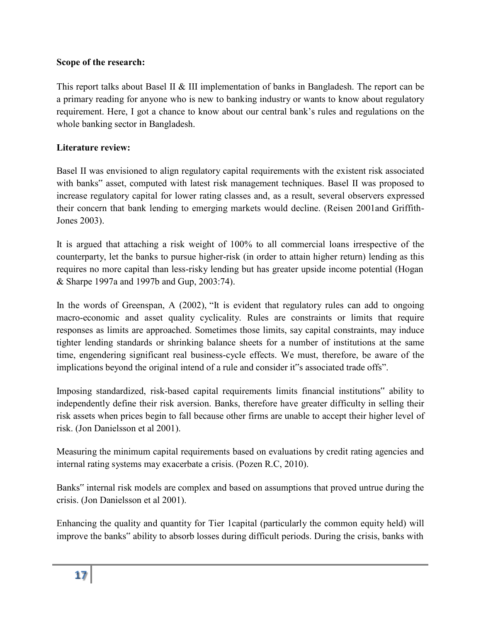### **Scope of the research:**

This report talks about Basel II & III implementation of banks in Bangladesh. The report can be a primary reading for anyone who is new to banking industry or wants to know about regulatory requirement. Here, I got a chance to know about our central bank's rules and regulations on the whole banking sector in Bangladesh.

### **Literature review:**

Basel II was envisioned to align regulatory capital requirements with the existent risk associated with banks" asset, computed with latest risk management techniques. Basel II was proposed to increase regulatory capital for lower rating classes and, as a result, several observers expressed their concern that bank lending to emerging markets would decline. (Reisen 2001and Griffith-Jones 2003).

It is argued that attaching a risk weight of 100% to all commercial loans irrespective of the counterparty, let the banks to pursue higher-risk (in order to attain higher return) lending as this requires no more capital than less-risky lending but has greater upside income potential (Hogan & Sharpe 1997a and 1997b and Gup, 2003:74).

In the words of Greenspan, A (2002), "It is evident that regulatory rules can add to ongoing macro-economic and asset quality cyclicality. Rules are constraints or limits that require responses as limits are approached. Sometimes those limits, say capital constraints, may induce tighter lending standards or shrinking balance sheets for a number of institutions at the same time, engendering significant real business-cycle effects. We must, therefore, be aware of the implications beyond the original intend of a rule and consider it"s associated trade offs".

Imposing standardized, risk-based capital requirements limits financial institutions" ability to independently define their risk aversion. Banks, therefore have greater difficulty in selling their risk assets when prices begin to fall because other firms are unable to accept their higher level of risk. (Jon Danielsson et al 2001).

Measuring the minimum capital requirements based on evaluations by credit rating agencies and internal rating systems may exacerbate a crisis. (Pozen R.C, 2010).

Banks" internal risk models are complex and based on assumptions that proved untrue during the crisis. (Jon Danielsson et al 2001).

Enhancing the quality and quantity for Tier 1capital (particularly the common equity held) will improve the banks" ability to absorb losses during difficult periods. During the crisis, banks with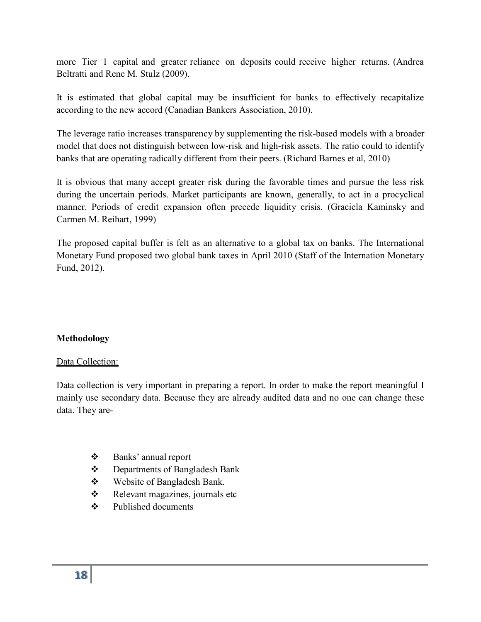more Tier 1 capital and greater reliance on deposits could receive higher returns. (Andrea Beltratti and Rene M. Stulz (2009).

It is estimated that global capital may be insufficient for banks to effectively recapitalize according to the new accord (Canadian Bankers Association, 2010).

The leverage ratio increases transparency by supplementing the risk-based models with a broader model that does not distinguish between low-risk and high-risk assets. The ratio could to identify banks that are operating radically different from their peers. (Richard Barnes et al, 2010)

It is obvious that many accept greater risk during the favorable times and pursue the less risk during the uncertain periods. Market participants are known, generally, to act in a procyclical manner. Periods of credit expansion often precede liquidity crisis. (Graciela Kaminsky and Carmen M. Reihart, 1999)

The proposed capital buffer is felt as an alternative to a global tax on banks. The International Monetary Fund proposed two global bank taxes in April 2010 (Staff of the Internation Monetary Fund, 2012).

#### **Methodology**

#### Data Collection:

Data collection is very important in preparing a report. In order to make the report meaningful I mainly use secondary data. Because they are already audited data and no one can change these data. They are-

- Banks' annual report
- ❖ Departments of Bangladesh Bank
- Website of Bangladesh Bank.
- Relevant magazines, journals etc
- Published documents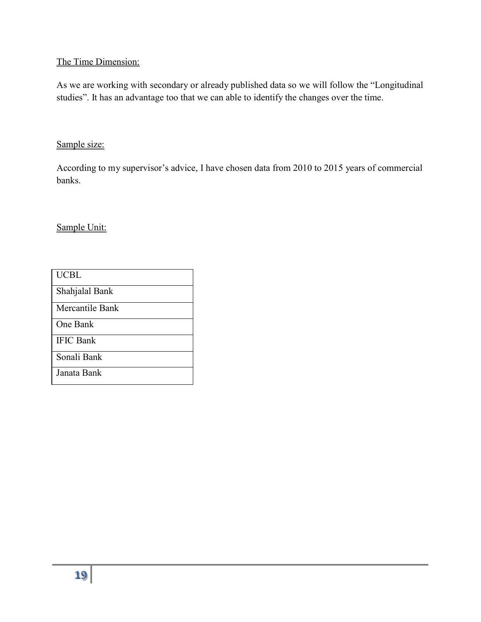# The Time Dimension:

As we are working with secondary or already published data so we will follow the "Longitudinal studies". It has an advantage too that we can able to identify the changes over the time.

#### Sample size:

According to my supervisor's advice, I have chosen data from 2010 to 2015 years of commercial banks.

Sample Unit:

| <b>UCBL</b>      |
|------------------|
| Shahjalal Bank   |
| Mercantile Bank  |
| One Bank         |
| <b>IFIC Bank</b> |
| Sonali Bank      |
| Janata Bank      |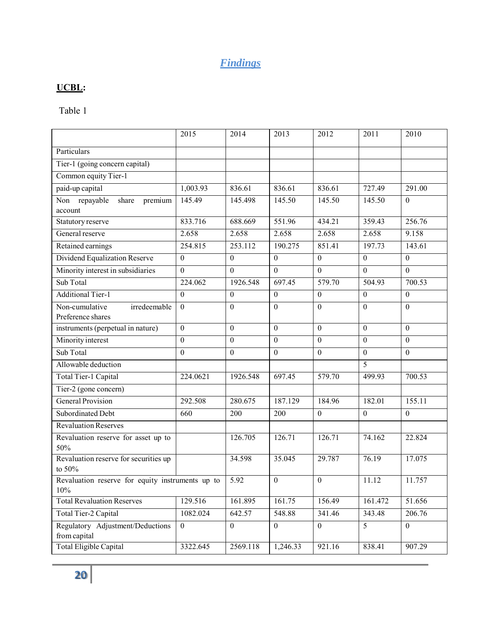# *Findings*

# **UCBL:**

Table 1

|                                                         | 2015             | 2014             | 2013             | 2012             | 2011           | 2010           |
|---------------------------------------------------------|------------------|------------------|------------------|------------------|----------------|----------------|
| Particulars                                             |                  |                  |                  |                  |                |                |
| Tier-1 (going concern capital)                          |                  |                  |                  |                  |                |                |
| Common equity Tier-1                                    |                  |                  |                  |                  |                |                |
| paid-up capital                                         | 1,003.93         | 836.61           | 836.61           | 836.61           | 727.49         | 291.00         |
| Non repayable<br>share<br>premium<br>account            | 145.49           | 145.498          | 145.50           | 145.50           | 145.50         | $\theta$       |
| Statutory reserve                                       | 833.716          | 688.669          | 551.96           | 434.21           | 359.43         | 256.76         |
| General reserve                                         | 2.658            | 2.658            | 2.658            | 2.658            | 2.658          | 9.158          |
| Retained earnings                                       | 254.815          | 253.112          | 190.275          | 851.41           | 197.73         | 143.61         |
| Dividend Equalization Reserve                           | $\overline{0}$   | $\mathbf{0}$     | $\mathbf{0}$     | $\mathbf{0}$     | $\overline{0}$ | $\overline{0}$ |
| Minority interest in subsidiaries                       | $\boldsymbol{0}$ | $\theta$         | $\boldsymbol{0}$ | $\boldsymbol{0}$ | $\mathbf{0}$   | $\mathbf{0}$   |
| Sub Total                                               | 224.062          | 1926.548         | 697.45           | 579.70           | 504.93         | 700.53         |
| <b>Additional Tier-1</b>                                | $\overline{0}$   | $\boldsymbol{0}$ | $\boldsymbol{0}$ | $\theta$         | $\mathbf{0}$   | $\mathbf{0}$   |
| irredeemable<br>Non-cumulative<br>Preference shares     | $\mathbf{0}$     | $\mathbf{0}$     | $\boldsymbol{0}$ | $\boldsymbol{0}$ | $\mathbf{0}$   | $\mathbf{0}$   |
| instruments (perpetual in nature)                       | $\boldsymbol{0}$ | $\mathbf{0}$     | $\mathbf{0}$     | $\mathbf{0}$     | $\mathbf{0}$   | $\mathbf{0}$   |
| Minority interest                                       | $\overline{0}$   | $\theta$         | $\boldsymbol{0}$ | $\boldsymbol{0}$ | $\theta$       | $\theta$       |
| Sub Total                                               | $\overline{0}$   | $\overline{0}$   | $\overline{0}$   | $\mathbf{0}$     | $\mathbf{0}$   | $\overline{0}$ |
| Allowable deduction                                     |                  |                  |                  |                  | 5              |                |
| Total Tier-1 Capital                                    | 224.0621         | 1926.548         | 697.45           | 579.70           | 499.93         | 700.53         |
| Tier-2 (gone concern)                                   |                  |                  |                  |                  |                |                |
| <b>General Provision</b>                                | 292.508          | 280.675          | 187.129          | 184.96           | 182.01         | 155.11         |
| Subordinated Debt                                       | 660              | 200              | 200              | $\theta$         | $\mathbf{0}$   | $\mathbf{0}$   |
| Revaluation Reserves                                    |                  |                  |                  |                  |                |                |
| Revaluation reserve for asset up to<br>50%              |                  | 126.705          | 126.71           | 126.71           | 74.162         | 22.824         |
| Revaluation reserve for securities up<br>to 50%         |                  | 34.598           | 35.045           | 29.787           | 76.19          | 17.075         |
| Revaluation reserve for equity instruments up to<br>10% |                  | 5.92             | $\boldsymbol{0}$ | $\boldsymbol{0}$ | 11.12          | 11.757         |
| <b>Total Revaluation Reserves</b>                       | 129.516          | 161.895          | 161.75           | 156.49           | 161.472        | 51.656         |
| Total Tier-2 Capital                                    | 1082.024         | 642.57           | 548.88           | 341.46           | 343.48         | 206.76         |
| Regulatory Adjustment/Deductions<br>from capital        | $\overline{0}$   | $\mathbf{0}$     | $\boldsymbol{0}$ | $\mathbf{0}$     | 5              | $\theta$       |
| <b>Total Eligible Capital</b>                           | 3322.645         | 2569.118         | 1,246.33         | 921.16           | 838.41         | 907.29         |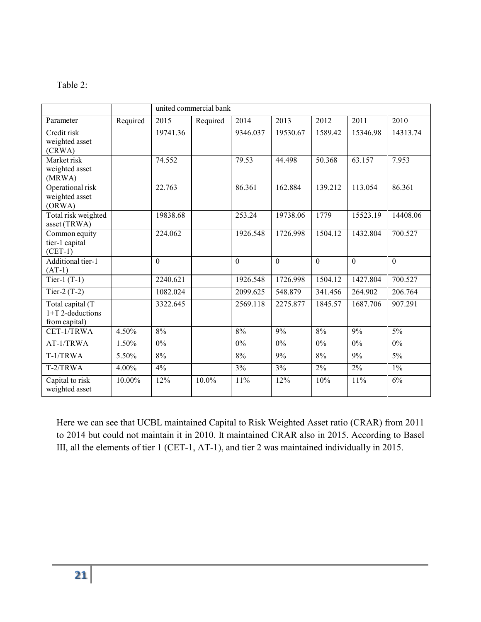| яn<br>יי |  |
|----------|--|
|----------|--|

|                                                         |          | united commercial bank |          |          |              |          |              |                 |  |  |
|---------------------------------------------------------|----------|------------------------|----------|----------|--------------|----------|--------------|-----------------|--|--|
| Parameter                                               | Required | 2015                   | Required | 2014     | 2013         | 2012     | 2011         | 2010            |  |  |
| Credit risk<br>weighted asset<br>(CRWA)                 |          | 19741.36               |          | 9346.037 | 19530.67     | 1589.42  | 15346.98     | 14313.74        |  |  |
| Market risk<br>weighted asset<br>(MRWA)                 |          | 74.552                 |          | 79.53    | 44.498       | 50.368   | 63.157       | 7.953           |  |  |
| Operational risk<br>weighted asset<br>(ORWA)            |          | 22.763                 |          | 86.361   | 162.884      | 139.212  | 113.054      | 86.361          |  |  |
| Total risk weighted<br>asset (TRWA)                     |          | 19838.68               |          | 253.24   | 19738.06     | 1779     | 15523.19     | 14408.06        |  |  |
| Common equity<br>tier-1 capital<br>$(CET-1)$            |          | 224.062                |          | 1926.548 | 1726.998     | 1504.12  | 1432.804     | 700.527         |  |  |
| Additional tier-1<br>$(AT-1)$                           |          | $\mathbf{0}$           |          | $\Omega$ | $\mathbf{0}$ | $\Omega$ | $\mathbf{0}$ | $\overline{0}$  |  |  |
| Tier-1 $(T-1)$                                          |          | 2240.621               |          | 1926.548 | 1726.998     | 1504.12  | 1427.804     | 700.527         |  |  |
| Tier-2 $(T-2)$                                          |          | 1082.024               |          | 2099.625 | 548.879      | 341.456  | 264.902      | 206.764         |  |  |
| Total capital (T<br>$1+T$ 2-deductions<br>from capital) |          | 3322.645               |          | 2569.118 | 2275.877     | 1845.57  | 1687.706     | 907.291         |  |  |
| CET-1/TRWA                                              | 4.50%    | 8%                     |          | 8%       | 9%           | 8%       | 9%           | $\frac{5\%}{ }$ |  |  |
| AT-1/TRWA                                               | 1.50%    | $0\%$                  |          | $0\%$    | 0%           | $0\%$    | $0\%$        | $0\%$           |  |  |
| T-1/TRWA                                                | 5.50%    | 8%                     |          | 8%       | 9%           | 8%       | 9%           | 5%              |  |  |
| T-2/TRWA                                                | 4.00%    | 4%                     |          | 3%       | 3%           | $2\%$    | $2\%$        | $1\%$           |  |  |
| Capital to risk<br>weighted asset                       | 10.00%   | 12%                    | 10.0%    | 11%      | 12%          | 10%      | 11%          | 6%              |  |  |

Here we can see that UCBL maintained Capital to Risk Weighted Asset ratio (CRAR) from 2011 to 2014 but could not maintain it in 2010. It maintained CRAR also in 2015. According to Basel III, all the elements of tier 1 (CET-1, AT-1), and tier 2 was maintained individually in 2015.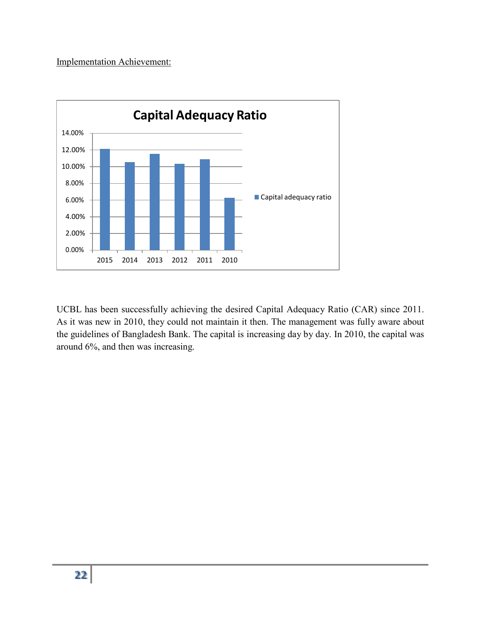#### Implementation Achievement:



UCBL has been successfully achieving the desired Capital Adequacy Ratio (CAR) since 2011. As it was new in 2010, they could not maintain it then. The management was fully aware about the guidelines of Bangladesh Bank. The capital is increasing day by day. In 2010, the capital was around 6%, and then was increasing.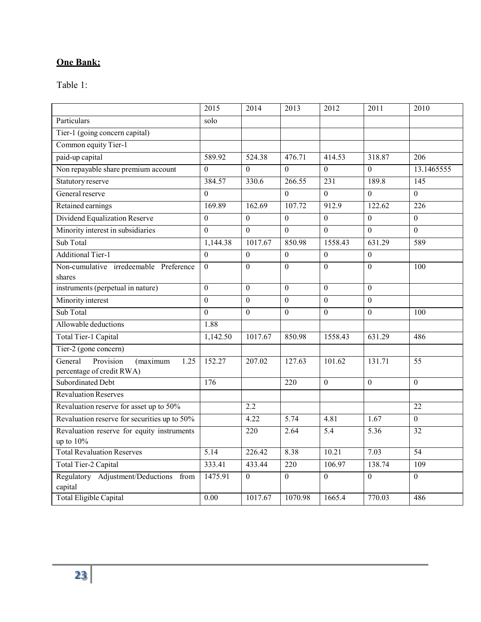# **One Bank:**

Table 1:

|                                                                       | 2015              | 2014             | 2013             | 2012             | 2011              | 2010             |
|-----------------------------------------------------------------------|-------------------|------------------|------------------|------------------|-------------------|------------------|
| Particulars                                                           | solo              |                  |                  |                  |                   |                  |
| Tier-1 (going concern capital)                                        |                   |                  |                  |                  |                   |                  |
| Common equity Tier-1                                                  |                   |                  |                  |                  |                   |                  |
| paid-up capital                                                       | 589.92            | 524.38           | 476.71           | 414.53           | 318.87            | 206              |
| Non repayable share premium account                                   | $\overline{0}$    | $\overline{0}$   | $\overline{0}$   | $\overline{0}$   | $\overline{0}$    | 13.1465555       |
| Statutory reserve                                                     | 384.57            | 330.6            | 266.55           | $\overline{231}$ | 189.8             | 145              |
| General reserve                                                       | $\theta$          |                  | $\Omega$         | $\Omega$         | $\overline{0}$    | $\theta$         |
| Retained earnings                                                     | 169.89            | 162.69           | 107.72           | 912.9            | 122.62            | 226              |
| Dividend Equalization Reserve                                         | $\overline{0}$    | $\Omega$         | $\Omega$         | $\Omega$         | $\Omega$          | $\mathbf{0}$     |
| Minority interest in subsidiaries                                     | $\overline{0}$    | $\overline{0}$   | $\boldsymbol{0}$ | $\mathbf{0}$     | $\overline{0}$    | $\mathbf{0}$     |
| Sub Total                                                             | 1,144.38          | 1017.67          | 850.98           | 1558.43          | 631.29            | 589              |
| <b>Additional Tier-1</b>                                              | $\overline{0}$    | $\boldsymbol{0}$ | $\overline{0}$   | $\overline{0}$   | $\overline{0}$    |                  |
| Non-cumulative irredeemable Preference                                | $\theta$          | $\theta$         | $\overline{0}$   | $\overline{0}$   | $\overline{0}$    | 100              |
| shares                                                                |                   |                  |                  |                  |                   |                  |
| instruments (perpetual in nature)                                     | $\theta$          | $\theta$         | $\Omega$         | $\Omega$         | $\Omega$          |                  |
| Minority interest                                                     | $\mathbf{0}$      | $\overline{0}$   | $\overline{0}$   | $\overline{0}$   | $\overline{0}$    |                  |
| Sub Total                                                             | $\theta$          | $\theta$         | $\Omega$         | $\mathbf{0}$     | $\Omega$          | 100              |
| Allowable deductions                                                  | 1.88              |                  |                  |                  |                   |                  |
| Total Tier-1 Capital                                                  | 1,142.50          | 1017.67          | 850.98           | 1558.43          | 631.29            | 486              |
| Tier-2 (gone concern)                                                 |                   |                  |                  |                  |                   |                  |
| General<br>Provision<br>(maximum<br>1.25<br>percentage of credit RWA) | 152.27            | 207.02           | 127.63           | 101.62           | 131.71            | 55               |
| Subordinated Debt                                                     | 176               |                  | 220              | $\mathbf{0}$     | $\overline{0}$    | $\boldsymbol{0}$ |
| <b>Revaluation Reserves</b>                                           |                   |                  |                  |                  |                   |                  |
| Revaluation reserve for asset up to 50%                               |                   | 2.2              |                  |                  |                   | 22               |
| Revaluation reserve for securities up to 50%                          |                   | 4.22             | 5.74             | 4.81             | 1.67              | $\theta$         |
| Revaluation reserve for equity instruments<br>up to $10%$             |                   | $\overline{220}$ | 2.64             | $\overline{5.4}$ | $\overline{5.36}$ | $\overline{32}$  |
| <b>Total Revaluation Reserves</b>                                     | $\overline{5.14}$ | 226.42           | 8.38             | 10.21            | 7.03              | $\overline{54}$  |
| Total Tier-2 Capital                                                  | 333.41            | 433.44           | 220              | 106.97           | 138.74            | 109              |
| Regulatory Adjustment/Deductions from<br>capital                      | 1475.91           | $\theta$         | $\boldsymbol{0}$ | $\boldsymbol{0}$ | $\boldsymbol{0}$  | $\boldsymbol{0}$ |
| <b>Total Eligible Capital</b>                                         | 0.00              | 1017.67          | 1070.98          | 1665.4           | 770.03            | 486              |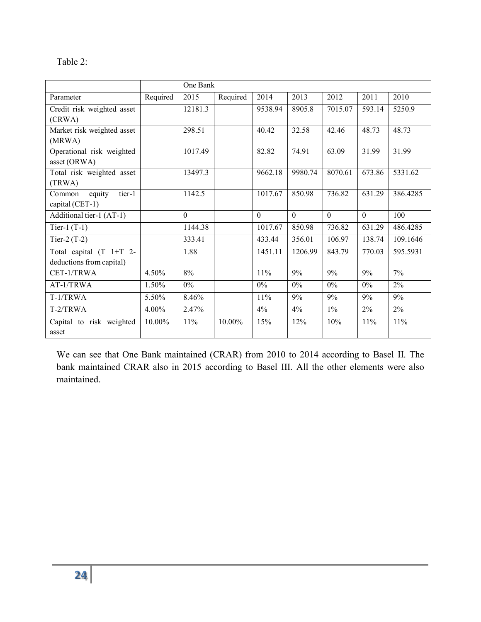| able |  |
|------|--|
|------|--|

|                                   |          | One Bank |          |          |          |          |          |          |
|-----------------------------------|----------|----------|----------|----------|----------|----------|----------|----------|
| Parameter                         | Required | 2015     | Required | 2014     | 2013     | 2012     | 2011     | 2010     |
| Credit risk weighted asset        |          | 12181.3  |          | 9538.94  | 8905.8   | 7015.07  | 593.14   | 5250.9   |
| (CRWA)                            |          |          |          |          |          |          |          |          |
| Market risk weighted asset        |          | 298.51   |          | 40.42    | 32.58    | 42.46    | 48.73    | 48.73    |
| (MRWA)                            |          |          |          |          |          |          |          |          |
| Operational risk weighted         |          | 1017.49  |          | 82.82    | 74.91    | 63.09    | 31.99    | 31.99    |
| asset (ORWA)                      |          |          |          |          |          |          |          |          |
| Total risk weighted asset         |          | 13497.3  |          | 9662.18  | 9980.74  | 8070.61  | 673.86   | 5331.62  |
| (TRWA)                            |          |          |          |          |          |          |          |          |
| tier-1<br>equity<br>Common        |          | 1142.5   |          | 1017.67  | 850.98   | 736.82   | 631.29   | 386.4285 |
| capital (CET-1)                   |          |          |          |          |          |          |          |          |
| Additional tier-1 (AT-1)          |          | $\Omega$ |          | $\Omega$ | $\Omega$ | $\Omega$ | $\theta$ | 100      |
| Tier-1 $(T-1)$                    |          | 1144.38  |          | 1017.67  | 850.98   | 736.82   | 631.29   | 486.4285 |
| Tier-2 $(T-2)$                    |          | 333.41   |          | 433.44   | 356.01   | 106.97   | 138.74   | 109.1646 |
| Total capital (T 1+T 2-           |          | 1.88     |          | 1451.11  | 1206.99  | 843.79   | 770.03   | 595.5931 |
| deductions from capital)          |          |          |          |          |          |          |          |          |
| CET-1/TRWA                        | 4.50%    | 8%       |          | 11%      | 9%       | 9%       | 9%       | 7%       |
| AT-1/TRWA                         | 1.50%    | $0\%$    |          | $0\%$    | $0\%$    | $0\%$    | $0\%$    | 2%       |
| T-1/TRWA                          | 5.50%    | 8.46%    |          | 11%      | 9%       | 9%       | 9%       | 9%       |
| T-2/TRWA                          | 4.00%    | 2.47%    |          | 4%       | 4%       | $1\%$    | $2\%$    | 2%       |
| Capital to risk weighted<br>asset | 10.00%   | 11%      | 10.00%   | 15%      | 12%      | 10%      | 11%      | 11%      |

We can see that One Bank maintained (CRAR) from 2010 to 2014 according to Basel II. The bank maintained CRAR also in 2015 according to Basel III. All the other elements were also maintained.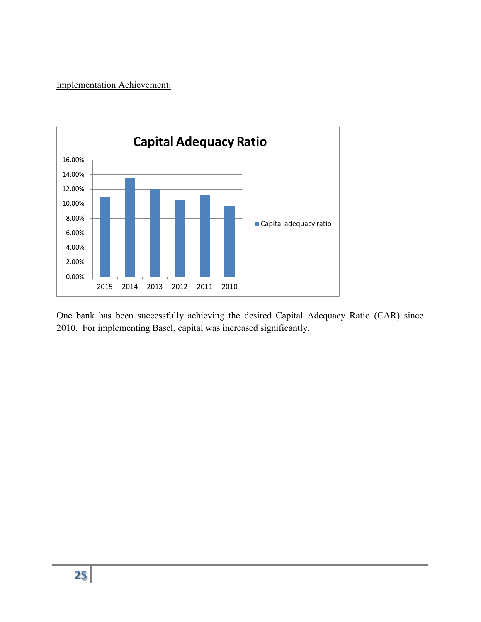Implementation Achievement:



One bank has been successfully achieving the desired Capital Adequacy Ratio (CAR) since 2010. For implementing Basel, capital was increased significantly.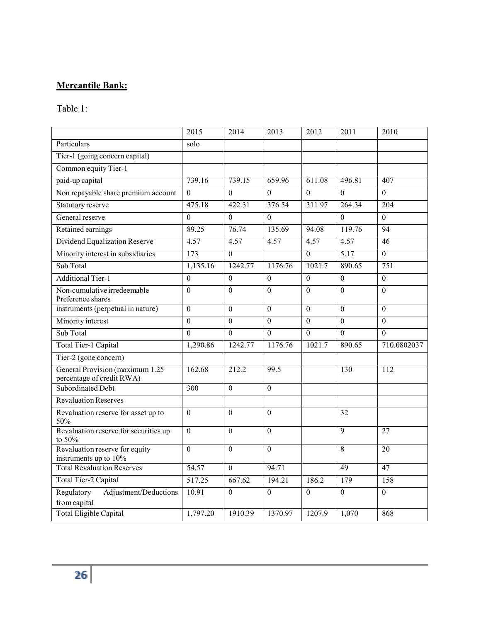# **Mercantile Bank:**

Table 1:

|                                                              | 2015                  | 2014           | 2013             | 2012             | 2011              | 2010             |
|--------------------------------------------------------------|-----------------------|----------------|------------------|------------------|-------------------|------------------|
| Particulars                                                  | solo                  |                |                  |                  |                   |                  |
| Tier-1 (going concern capital)                               |                       |                |                  |                  |                   |                  |
| Common equity Tier-1                                         |                       |                |                  |                  |                   |                  |
| paid-up capital                                              | 739.16                | 739.15         | 659.96           | 611.08           | 496.81            | 407              |
| Non repayable share premium account                          | $\theta$              | $\theta$       | $\theta$         | $\theta$         | $\theta$          | $\boldsymbol{0}$ |
| Statutory reserve                                            | 475.18                | 422.31         | 376.54           | 311.97           | 264.34            | 204              |
| General reserve                                              | $\Omega$              | $\Omega$       | $\theta$         |                  | $\overline{0}$    | $\overline{0}$   |
| Retained earnings                                            | 89.25                 | 76.74          | 135.69           | 94.08            | 119.76            | 94               |
| Dividend Equalization Reserve                                | 4.57                  | 4.57           | 4.57             | 4.57             | 4.57              | 46               |
| Minority interest in subsidiaries                            | $\overline{173}$      | $\overline{0}$ |                  | $\boldsymbol{0}$ | $\overline{5.17}$ | $\boldsymbol{0}$ |
| Sub Total                                                    | 1,135.16              | 1242.77        | 1176.76          | 1021.7           | 890.65            | 751              |
| <b>Additional Tier-1</b>                                     | $\theta$              | $\theta$       | $\theta$         | $\theta$         | $\Omega$          | $\boldsymbol{0}$ |
| Non-cumulative irredeemable<br>Preference shares             | $\Omega$              | $\Omega$       | $\overline{0}$   | $\overline{0}$   | $\mathbf{0}$      | $\overline{0}$   |
| instruments (perpetual in nature)                            | $\theta$              | $\theta$       | $\boldsymbol{0}$ | $\overline{0}$   | $\boldsymbol{0}$  | $\overline{0}$   |
| Minority interest                                            | $\theta$              | $\theta$       | $\theta$         | $\theta$         | $\overline{0}$    | $\theta$         |
| Sub Total                                                    | $\theta$              | $\Omega$       | $\overline{0}$   | $\overline{0}$   | $\overline{0}$    | $\overline{0}$   |
| Total Tier-1 Capital                                         | 1,290.86              | 1242.77        | 1176.76          | 1021.7           | 890.65            | 710.0802037      |
| Tier-2 (gone concern)                                        |                       |                |                  |                  |                   |                  |
| General Provision (maximum 1.25<br>percentage of credit RWA) | 162.68                | 212.2          | 99.5             |                  | 130               | 112              |
| Subordinated Debt                                            | 300                   | $\mathbf{0}$   | $\overline{0}$   |                  |                   |                  |
| Revaluation Reserves                                         |                       |                |                  |                  |                   |                  |
| Revaluation reserve for asset up to<br>50%                   | $\theta$              | $\theta$       | $\overline{0}$   |                  | 32                |                  |
| Revaluation reserve for securities up<br>to 50%              | $\mathbf{0}$          | $\mathbf{0}$   | $\overline{0}$   |                  | $\overline{9}$    | 27               |
| Revaluation reserve for equity<br>instruments up to 10%      | $\mathbf{0}$          | $\overline{0}$ | $\overline{0}$   |                  | $\overline{8}$    | 20               |
| <b>Total Revaluation Reserves</b>                            | 54.57                 | $\Omega$       | 94.71            |                  | 49                | 47               |
| Total Tier-2 Capital                                         | 517.25                | 667.62         | 194.21           | 186.2            | 179               | 158              |
| Regulatory<br>Adjustment/Deductions<br>from capital          | 10.91                 | $\overline{0}$ | $\theta$         | $\overline{0}$   | $\boldsymbol{0}$  | $\boldsymbol{0}$ |
| Total Eligible Capital                                       | $1,79\overline{7.20}$ | 1910.39        | 1370.97          | 1207.9           | 1,070             | 868              |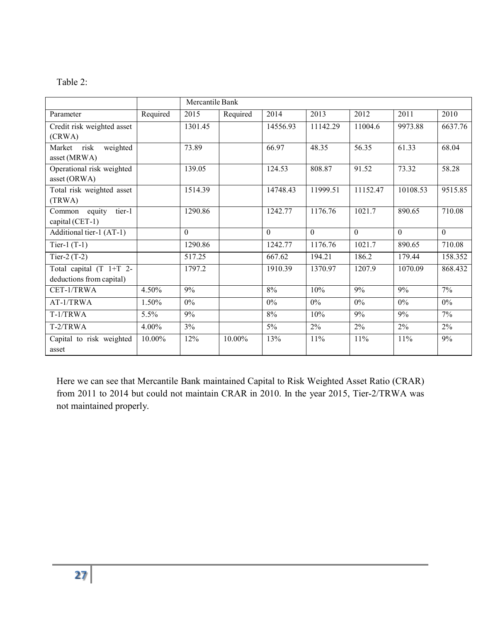| anie |  |
|------|--|
|------|--|

|                                   | Mercantile Bank |          |           |          |          |          |                |          |
|-----------------------------------|-----------------|----------|-----------|----------|----------|----------|----------------|----------|
| Parameter                         | Required        | 2015     | Required  | 2014     | 2013     | 2012     | 2011           | 2010     |
| Credit risk weighted asset        |                 | 1301.45  |           | 14556.93 | 11142.29 | 11004.6  | 9973.88        | 6637.76  |
| (CRWA)                            |                 |          |           |          |          |          |                |          |
| risk<br>weighted<br>Market        |                 | 73.89    |           | 66.97    | 48.35    | 56.35    | 61.33          | 68.04    |
| asset (MRWA)                      |                 |          |           |          |          |          |                |          |
| Operational risk weighted         |                 | 139.05   |           | 124.53   | 808.87   | 91.52    | 73.32          | 58.28    |
| asset (ORWA)                      |                 |          |           |          |          |          |                |          |
| Total risk weighted asset         |                 | 1514.39  |           | 14748.43 | 11999.51 | 11152.47 | 10108.53       | 9515.85  |
| (TRWA)                            |                 |          |           |          |          |          |                |          |
| tier-1<br>Common equity           |                 | 1290.86  |           | 1242.77  | 1176.76  | 1021.7   | 890.65         | 710.08   |
| capital (CET-1)                   |                 |          |           |          |          |          |                |          |
| Additional tier-1 (AT-1)          |                 | $\theta$ |           | $\theta$ | $\Omega$ | $\theta$ | $\overline{0}$ | $\Omega$ |
| Tier-1 $(T-1)$                    |                 | 1290.86  |           | 1242.77  | 1176.76  | 1021.7   | 890.65         | 710.08   |
| Tier-2 $(T-2)$                    |                 | 517.25   |           | 667.62   | 194.21   | 186.2    | 179.44         | 158.352  |
| Total capital (T 1+T 2-           |                 | 1797.2   |           | 1910.39  | 1370.97  | 1207.9   | 1070.09        | 868.432  |
| deductions from capital)          |                 |          |           |          |          |          |                |          |
| CET-1/TRWA                        | 4.50%           | 9%       |           | 8%       | 10%      | 9%       | 9%             | 7%       |
| AT-1/TRWA                         | 1.50%           | $0\%$    |           | $0\%$    | 0%       | 0%       | 0%             | $0\%$    |
| T-1/TRWA                          | 5.5%            | 9%       |           | 8%       | 10%      | 9%       | 9%             | 7%       |
| $T-2/TRWA$                        | 4.00%           | 3%       |           | 5%       | $2\%$    | $2\%$    | $2\%$          | $2\%$    |
| Capital to risk weighted<br>asset | 10.00%          | 12%      | $10.00\%$ | 13%      | 11%      | 11%      | 11%            | 9%       |

Here we can see that Mercantile Bank maintained Capital to Risk Weighted Asset Ratio (CRAR) from 2011 to 2014 but could not maintain CRAR in 2010. In the year 2015, Tier-2/TRWA was not maintained properly.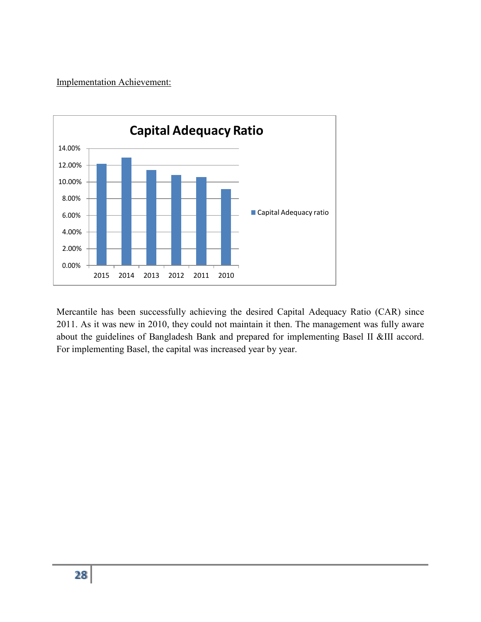Implementation Achievement:



Mercantile has been successfully achieving the desired Capital Adequacy Ratio (CAR) since 2011. As it was new in 2010, they could not maintain it then. The management was fully aware about the guidelines of Bangladesh Bank and prepared for implementing Basel II &III accord. For implementing Basel, the capital was increased year by year.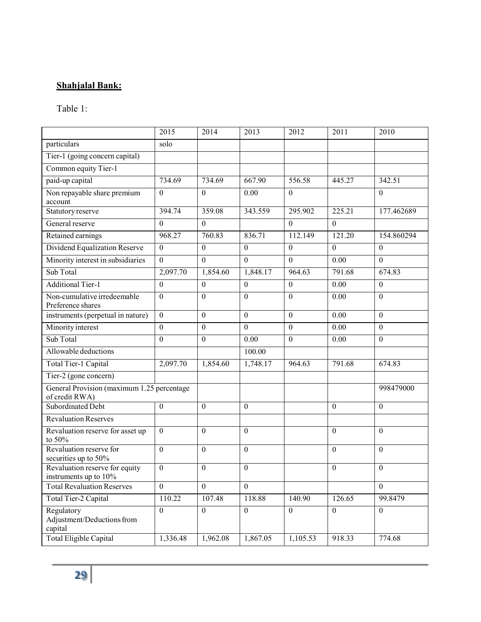# **Shahjalal Bank:**

### Table 1:

|                                                              | 2015             | 2014             | 2013           | 2012             | 2011           | 2010             |
|--------------------------------------------------------------|------------------|------------------|----------------|------------------|----------------|------------------|
| particulars                                                  | solo             |                  |                |                  |                |                  |
| Tier-1 (going concern capital)                               |                  |                  |                |                  |                |                  |
| Common equity Tier-1                                         |                  |                  |                |                  |                |                  |
| paid-up capital                                              | 734.69           | 734.69           | 667.90         | 556.58           | 445.27         | 342.51           |
| Non repayable share premium<br>account                       | $\boldsymbol{0}$ | $\boldsymbol{0}$ | 0.00           | $\theta$         |                | $\theta$         |
| Statutory reserve                                            | 394.74           | 359.08           | 343.559        | 295.902          | 225.21         | 177.462689       |
| General reserve                                              | $\mathbf{0}$     | $\mathbf{0}$     |                | $\mathbf{0}$     | $\Omega$       |                  |
| Retained earnings                                            | 968.27           | 760.83           | 836.71         | 112.149          | 121.20         | 154.860294       |
| Dividend Equalization Reserve                                | $\mathbf{0}$     | $\mathbf{0}$     | $\overline{0}$ | $\boldsymbol{0}$ | $\overline{0}$ | $\overline{0}$   |
| Minority interest in subsidiaries                            | $\mathbf{0}$     | $\mathbf{0}$     | $\Omega$       | $\mathbf{0}$     | 0.00           | $\Omega$         |
| Sub Total                                                    | 2,097.70         | 1,854.60         | 1,848.17       | 964.63           | 791.68         | 674.83           |
| <b>Additional Tier-1</b>                                     | $\mathbf{0}$     | $\mathbf{0}$     | $\mathbf{0}$   | $\boldsymbol{0}$ | 0.00           | $\mathbf{0}$     |
| Non-cumulative irredeemable<br>Preference shares             | $\theta$         | $\boldsymbol{0}$ | $\mathbf{0}$   | $\boldsymbol{0}$ | 0.00           | $\mathbf{0}$     |
| instruments (perpetual in nature)                            | $\mathbf{0}$     | $\boldsymbol{0}$ | $\mathbf{0}$   | $\boldsymbol{0}$ | 0.00           | $\mathbf{0}$     |
| Minority interest                                            | $\mathbf{0}$     | $\mathbf{0}$     | $\theta$       | $\mathbf{0}$     | 0.00           | $\Omega$         |
| Sub Total                                                    | $\mathbf{0}$     | $\boldsymbol{0}$ | 0.00           | $\boldsymbol{0}$ | 0.00           | $\boldsymbol{0}$ |
| Allowable deductions                                         |                  |                  | 100.00         |                  |                |                  |
| Total Tier-1 Capital                                         | 2,097.70         | 1,854.60         | 1,748.17       | 964.63           | 791.68         | 674.83           |
| Tier-2 (gone concern)                                        |                  |                  |                |                  |                |                  |
| General Provision (maximum 1.25 percentage<br>of credit RWA) |                  |                  |                |                  |                | 998479000        |
| Subordinated Debt                                            | $\mathbf{0}$     | $\mathbf{0}$     | $\mathbf{0}$   |                  | $\theta$       | $\mathbf{0}$     |
| Revaluation Reserves                                         |                  |                  |                |                  |                |                  |
| Revaluation reserve for asset up<br>to 50%                   | $\theta$         | $\theta$         | $\theta$       |                  | $\theta$       | $\theta$         |
| Revaluation reserve for<br>securities up to 50%              | $\mathbf{0}$     | $\mathbf{0}$     | $\Omega$       |                  | $\Omega$       | $\Omega$         |
| Revaluation reserve for equity<br>instruments up to 10%      | $\mathbf{0}$     | $\theta$         | $\mathbf{0}$   |                  | $\theta$       | $\mathbf{0}$     |
| <b>Total Revaluation Reserves</b>                            | $\boldsymbol{0}$ | $\theta$         | $\Omega$       |                  |                | $\theta$         |
| Total Tier-2 Capital                                         | 110.22           | 107.48           | 118.88         | 140.90           | 126.65         | 99.8479          |
| Regulatory<br>Adjustment/Deductions from<br>capital          | $\mathbf{0}$     | $\mathbf{0}$     | $\overline{0}$ | $\mathbf{0}$     | $\mathbf{0}$   | $\mathbf{0}$     |
| Total Eligible Capital                                       | 1,336.48         | 1,962.08         | 1,867.05       | 1,105.53         | 918.33         | 774.68           |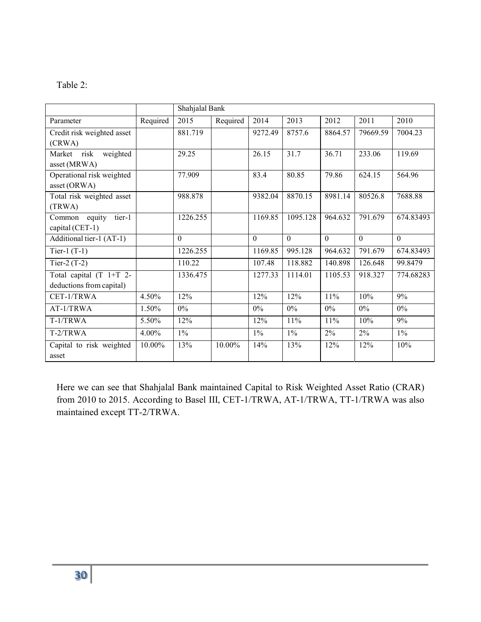| abie |
|------|
|------|

|                                   |          | Shahjalal Bank |          |          |                  |          |          |           |
|-----------------------------------|----------|----------------|----------|----------|------------------|----------|----------|-----------|
| Parameter                         | Required | 2015           | Required | 2014     | 2013             | 2012     | 2011     | 2010      |
| Credit risk weighted asset        |          | 881.719        |          | 9272.49  | 8757.6           | 8864.57  | 79669.59 | 7004.23   |
| (CRWA)                            |          |                |          |          |                  |          |          |           |
| risk<br>weighted<br>Market        |          | 29.25          |          | 26.15    | 31.7             | 36.71    | 233.06   | 119.69    |
| asset (MRWA)                      |          |                |          |          |                  |          |          |           |
| Operational risk weighted         |          | 77.909         |          | 83.4     | 80.85            | 79.86    | 624.15   | 564.96    |
| asset (ORWA)                      |          |                |          |          |                  |          |          |           |
| Total risk weighted asset         |          | 988.878        |          | 9382.04  | 8870.15          | 8981.14  | 80526.8  | 7688.88   |
| (TRWA)                            |          |                |          |          |                  |          |          |           |
| tier-1<br>Common<br>equity        |          | 1226.255       |          | 1169.85  | 1095.128         | 964.632  | 791.679  | 674.83493 |
| capital (CET-1)                   |          |                |          |          |                  |          |          |           |
| Additional tier-1 (AT-1)          |          | $\Omega$       |          | $\Omega$ | $\Omega$         | $\Omega$ | $\Omega$ | $\Omega$  |
| Tier-1 $(T-1)$                    |          | 1226.255       |          | 1169.85  | 995.128          | 964.632  | 791.679  | 674.83493 |
| Tier-2 $(T-2)$                    |          | 110.22         |          | 107.48   | 118.882          | 140.898  | 126.648  | 99.8479   |
| Total capital $(T \t1+T \t2-$     |          | 1336.475       |          | 1277.33  | 1114.01          | 1105.53  | 918.327  | 774.68283 |
| deductions from capital)          |          |                |          |          |                  |          |          |           |
| CET-1/TRWA                        | 4.50%    | 12%            |          | 12%      | 12%              | 11%      | 10%      | 9%        |
| AT-1/TRWA                         | 1.50%    | $0\%$          |          | $0\%$    | $\overline{0\%}$ | $0\%$    | $0\%$    | $0\%$     |
| T-1/TRWA                          | 5.50%    | 12%            |          | 12%      | 11%              | 11%      | 10%      | 9%        |
| T-2/TRWA                          | 4.00%    | $1\%$          |          | $1\%$    | $\overline{1\%}$ | $2\%$    | $2\%$    | $1\%$     |
| Capital to risk weighted<br>asset | 10.00%   | 13%            | 10.00%   | 14%      | 13%              | 12%      | 12%      | 10%       |

Here we can see that Shahjalal Bank maintained Capital to Risk Weighted Asset Ratio (CRAR) from 2010 to 2015. According to Basel III, CET-1/TRWA, AT-1/TRWA, TT-1/TRWA was also maintained except TT-2/TRWA.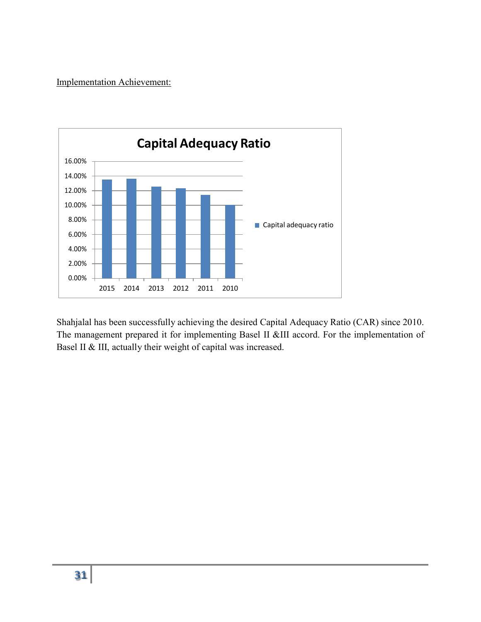Implementation Achievement:



Shahjalal has been successfully achieving the desired Capital Adequacy Ratio (CAR) since 2010. The management prepared it for implementing Basel II &III accord. For the implementation of Basel II & III, actually their weight of capital was increased.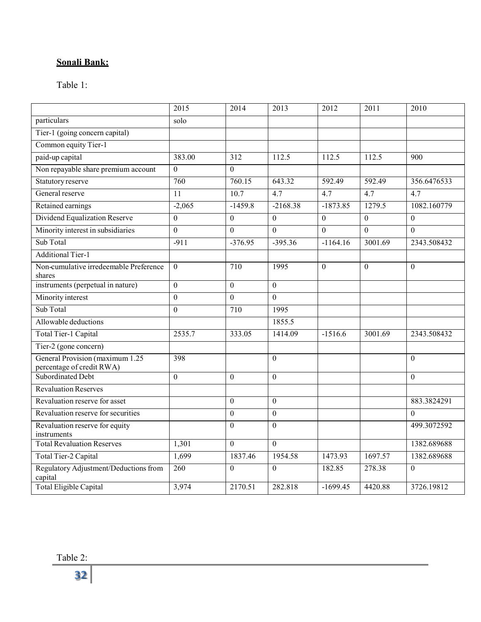# **Sonali Bank:**

Table 1:

|                                                               | 2015             | 2014             | 2013             | 2012             | 2011             | 2010             |
|---------------------------------------------------------------|------------------|------------------|------------------|------------------|------------------|------------------|
| particulars                                                   | solo             |                  |                  |                  |                  |                  |
| Tier-1 (going concern capital)                                |                  |                  |                  |                  |                  |                  |
| Common equity Tier-1                                          |                  |                  |                  |                  |                  |                  |
| paid-up capital                                               | 383.00           | 312              | 112.5            | 112.5            | 112.5            | 900              |
| Non repayable share premium account                           | $\overline{0}$   | $\theta$         |                  |                  |                  |                  |
| Statutory reserve                                             | 760              | 760.15           | 643.32           | 592.49           | 592.49           | 356.6476533      |
| General reserve                                               | 11               | 10.7             | 4.7              | 4.7              | 4.7              | 4.7              |
| Retained earnings                                             | $-2,065$         | $-1459.8$        | $-2168.38$       | $-1873.85$       | 1279.5           | 1082.160779      |
| Dividend Equalization Reserve                                 | $\boldsymbol{0}$ | $\boldsymbol{0}$ | $\boldsymbol{0}$ | $\boldsymbol{0}$ | $\boldsymbol{0}$ | $\boldsymbol{0}$ |
| Minority interest in subsidiaries                             | $\overline{0}$   | $\mathbf{0}$     | $\overline{0}$   | $\mathbf{0}$     | $\mathbf{0}$     | $\mathbf{0}$     |
| Sub Total                                                     | $-911$           | $-376.95$        | $-395.36$        | $-1164.16$       | 3001.69          | 2343.508432      |
| <b>Additional Tier-1</b>                                      |                  |                  |                  |                  |                  |                  |
| Non-cumulative irredeemable Preference<br>shares              | $\Omega$         | 710              | 1995             | $\mathbf{0}$     | $\mathbf{0}$     | $\mathbf{0}$     |
| instruments (perpetual in nature)                             | $\theta$         | $\mathbf{0}$     | $\boldsymbol{0}$ |                  |                  |                  |
| Minority interest                                             | $\mathbf{0}$     | $\theta$         | $\theta$         |                  |                  |                  |
| Sub Total                                                     | $\overline{0}$   | 710              | 1995             |                  |                  |                  |
| Allowable deductions                                          |                  |                  | 1855.5           |                  |                  |                  |
| Total Tier-1 Capital                                          | 2535.7           | 333.05           | 1414.09          | $-1516.6$        | 3001.69          | 2343.508432      |
| Tier-2 (gone concern)                                         |                  |                  |                  |                  |                  |                  |
| General Provision (maximum 1.25)<br>percentage of credit RWA) | 398              |                  | $\Omega$         |                  |                  | $\Omega$         |
| Subordinated Debt                                             | $\boldsymbol{0}$ | $\boldsymbol{0}$ | $\boldsymbol{0}$ |                  |                  | $\theta$         |
| <b>Revaluation Reserves</b>                                   |                  |                  |                  |                  |                  |                  |
| Revaluation reserve for asset                                 |                  | $\boldsymbol{0}$ | $\boldsymbol{0}$ |                  |                  | 883.3824291      |
| Revaluation reserve for securities                            |                  | $\theta$         | $\Omega$         |                  |                  | $\mathbf{0}$     |
| Revaluation reserve for equity<br>instruments                 |                  | $\mathbf{0}$     | $\overline{0}$   |                  |                  | 499.3072592      |
| <b>Total Revaluation Reserves</b>                             | 1,301            | $\Omega$         | $\Omega$         |                  |                  | 1382.689688      |
| Total Tier-2 Capital                                          | 1,699            | 1837.46          | 1954.58          | 1473.93          | 1697.57          | 1382.689688      |
| Regulatory Adjustment/Deductions from<br>capital              | 260              | $\mathbf{0}$     | $\overline{0}$   | 182.85           | 278.38           | $\overline{0}$   |
| Total Eligible Capital                                        | 3,974            | 2170.51          | 282.818          | $-1699.45$       | 4420.88          | 3726.19812       |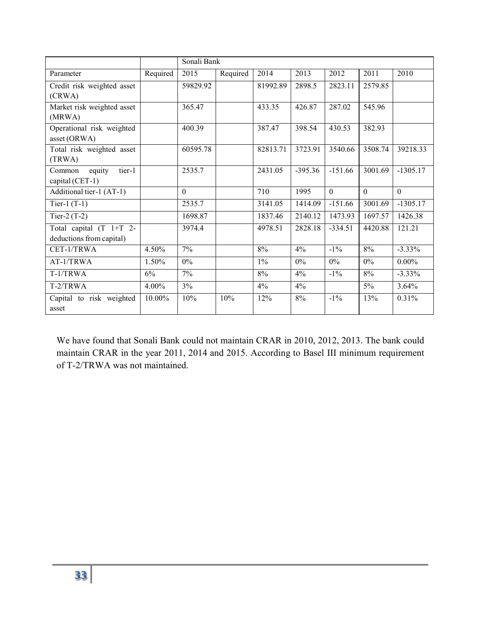|                                   |          | Sonali Bank |          |          |           |           |          |            |
|-----------------------------------|----------|-------------|----------|----------|-----------|-----------|----------|------------|
| Parameter                         | Required | 2015        | Required | 2014     | 2013      | 2012      | 2011     | 2010       |
| Credit risk weighted asset        |          | 59829.92    |          | 81992.89 | 2898.5    | 2823.11   | 2579.85  |            |
| (CRWA)                            |          |             |          |          |           |           |          |            |
| Market risk weighted asset        |          | 365.47      |          | 433.35   | 426.87    | 287.02    | 545.96   |            |
| (MRWA)                            |          |             |          |          |           |           |          |            |
| Operational risk weighted         |          | 400.39      |          | 387.47   | 398.54    | 430.53    | 382.93   |            |
| asset (ORWA)                      |          |             |          |          |           |           |          |            |
| Total risk weighted asset         |          | 60595.78    |          | 82813.71 | 3723.91   | 3540.66   | 3508.74  | 39218.33   |
| (TRWA)                            |          |             |          |          |           |           |          |            |
| tier-1<br>equity<br>Common        |          | 2535.7      |          | 2431.05  | $-395.36$ | $-151.66$ | 3001.69  | $-1305.17$ |
| capital (CET-1)                   |          |             |          |          |           |           |          |            |
| Additional tier-1 (AT-1)          |          | $\theta$    |          | 710      | 1995      | $\theta$  | $\theta$ | $\theta$   |
| Tier-1 $(T-1)$                    |          | 2535.7      |          | 3141.05  | 1414.09   | $-151.66$ | 3001.69  | $-1305.17$ |
| Tier-2 $(T-2)$                    |          | 1698.87     |          | 1837.46  | 2140.12   | 1473.93   | 1697.57  | 1426.38    |
| Total capital $(T \t1+T \t2-$     |          | 3974.4      |          | 4978.51  | 2828.18   | $-334.51$ | 4420.88  | 121.21     |
| deductions from capital)          |          |             |          |          |           |           |          |            |
| CET-1/TRWA                        | 4.50%    | $7\%$       |          | 8%       | $4\%$     | $-1\%$    | 8%       | $-3.33\%$  |
| AT-1/TRWA                         | 1.50%    | $0\%$       |          | $1\%$    | $0\%$     | $0\%$     | $0\%$    | $0.00\%$   |
| T-1/TRWA                          | 6%       | 7%          |          | 8%       | 4%        | $-1\%$    | $8\%$    | $-3.33\%$  |
| $T-2/TRWA$                        | $4.00\%$ | 3%          |          | 4%       | $4\%$     |           | $5\%$    | 3.64%      |
| Capital to risk weighted<br>asset | 10.00%   | 10%         | 10%      | 12%      | 8%        | $-1\%$    | 13%      | 0.31%      |

We have found that Sonali Bank could not maintain CRAR in 2010, 2012, 2013. The bank could maintain CRAR in the year 2011, 2014 and 2015. According to Basel III minimum requirement of T-2/TRWA was not maintained.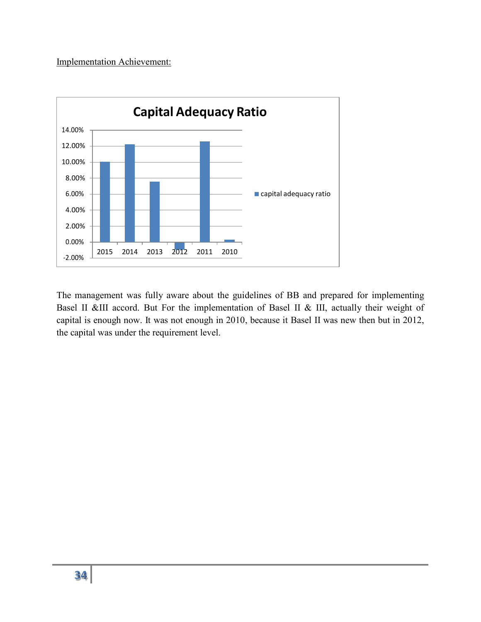#### Implementation Achievement:



The management was fully aware about the guidelines of BB and prepared for implementing Basel II &III accord. But For the implementation of Basel II & III, actually their weight of capital is enough now. It was not enough in 2010, because it Basel II was new then but in 2012, the capital was under the requirement level.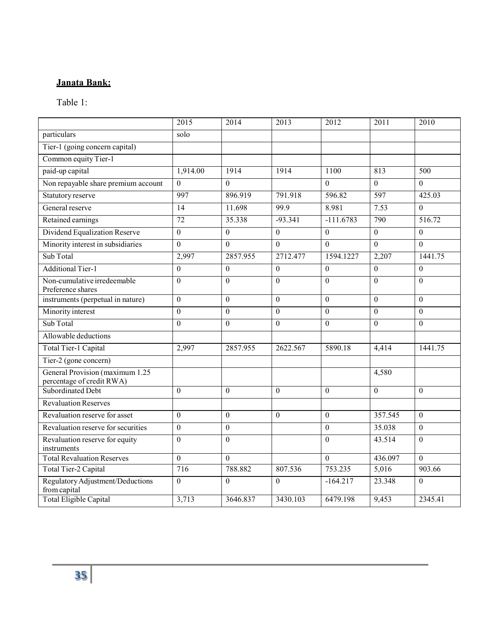# **Janata Bank:**

# Table 1:

|                                                              | 2015             | 2014             | 2013           | 2012             | 2011             | 2010             |
|--------------------------------------------------------------|------------------|------------------|----------------|------------------|------------------|------------------|
| particulars                                                  | solo             |                  |                |                  |                  |                  |
| Tier-1 (going concern capital)                               |                  |                  |                |                  |                  |                  |
| Common equity Tier-1                                         |                  |                  |                |                  |                  |                  |
| paid-up capital                                              | 1,914.00         | 1914             | 1914           | 1100             | 813              | 500              |
| Non repayable share premium account                          | $\overline{0}$   | $\theta$         |                | $\theta$         | $\theta$         | $\overline{0}$   |
| Statutory reserve                                            | 997              | 896.919          | 791.918        | 596.82           | $\overline{597}$ | 425.03           |
| General reserve                                              | $\overline{14}$  | 11.698           | 99.9           | 8.981            | 7.53             | $\mathbf{0}$     |
| Retained earnings                                            | 72               | 35.338           | $-93.341$      | $-111.6783$      | 790              | 516.72           |
| Dividend Equalization Reserve                                | $\boldsymbol{0}$ | $\boldsymbol{0}$ | $\overline{0}$ | $\boldsymbol{0}$ | $\boldsymbol{0}$ | $\boldsymbol{0}$ |
| Minority interest in subsidiaries                            | $\mathbf{0}$     | $\theta$         | $\overline{0}$ | $\overline{0}$   | $\mathbf{0}$     | $\mathbf{0}$     |
| Sub Total                                                    | 2,997            | 2857.955         | 2712.477       | 1594.1227        | 2,207            | 1441.75          |
| <b>Additional Tier-1</b>                                     | $\mathbf{0}$     | $\theta$         | $\Omega$       | $\theta$         | $\theta$         | $\theta$         |
| Non-cumulative irredeemable<br>Preference shares             | $\overline{0}$   | $\Omega$         | $\mathbf{0}$   | $\Omega$         | $\Omega$         | $\theta$         |
| instruments (perpetual in nature)                            | $\overline{0}$   | $\mathbf{0}$     | $\theta$       | $\Omega$         | $\mathbf{0}$     | $\theta$         |
| Minority interest                                            | $\mathbf{0}$     | $\theta$         | $\Omega$       | $\theta$         | $\theta$         | $\theta$         |
| Sub Total                                                    | $\mathbf{0}$     | $\theta$         | $\overline{0}$ | $\theta$         | $\overline{0}$   | $\theta$         |
| Allowable deductions                                         |                  |                  |                |                  |                  |                  |
| Total Tier-1 Capital                                         | 2,997            | 2857.955         | 2622.567       | 5890.18          | 4,414            | 1441.75          |
| Tier-2 (gone concern)                                        |                  |                  |                |                  |                  |                  |
| General Provision (maximum 1.25<br>percentage of credit RWA) |                  |                  |                |                  | 4,580            |                  |
| Subordinated Debt                                            | $\mathbf{0}$     | $\theta$         | $\Omega$       | $\theta$         | $\mathbf{0}$     | $\theta$         |
| <b>Revaluation Reserves</b>                                  |                  |                  |                |                  |                  |                  |
| Revaluation reserve for asset                                | $\theta$         | $\theta$         | $\Omega$       | $\theta$         | 357.545          | $\theta$         |
| Revaluation reserve for securities                           | $\overline{0}$   | $\boldsymbol{0}$ |                | $\overline{0}$   | 35.038           | $\mathbf{0}$     |
| Revaluation reserve for equity<br>instruments                | $\mathbf{0}$     | $\mathbf{0}$     |                | $\overline{0}$   | 43.514           | $\mathbf{0}$     |
| <b>Total Revaluation Reserves</b>                            | $\overline{0}$   | $\theta$         |                | $\theta$         | 436.097          | $\theta$         |
| Total Tier-2 Capital                                         | 716              | 788.882          | 807.536        | 753.235          | 5,016            | 903.66           |
| Regulatory Adjustment/Deductions<br>from capital             | $\boldsymbol{0}$ | $\theta$         | $\Omega$       | $-164.217$       | 23.348           | $\theta$         |
| <b>Total Eligible Capital</b>                                | 3,713            | 3646.837         | 3430.103       | 6479.198         | 9,453            | 2345.41          |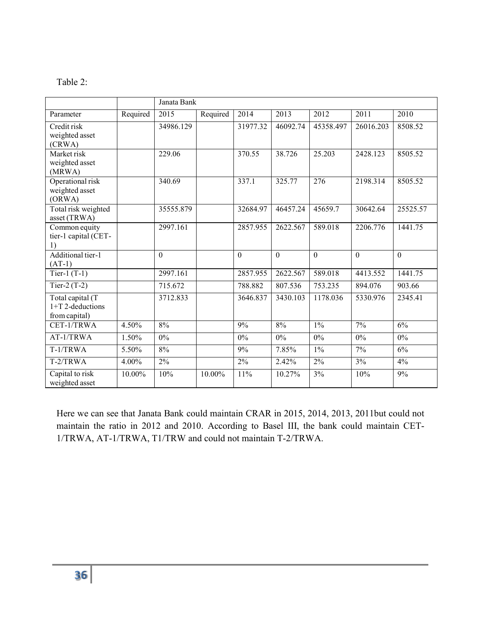| an<br>æ |  |
|---------|--|
|---------|--|

|                                                         |          | Janata Bank |          |                  |          |           |           |          |
|---------------------------------------------------------|----------|-------------|----------|------------------|----------|-----------|-----------|----------|
| Parameter                                               | Required | 2015        | Required | 2014             | 2013     | 2012      | 2011      | 2010     |
| Credit risk                                             |          | 34986.129   |          | 31977.32         | 46092.74 | 45358.497 | 26016.203 | 8508.52  |
| weighted asset<br>(CRWA)                                |          |             |          |                  |          |           |           |          |
| Market risk<br>weighted asset<br>(MRWA)                 |          | 229.06      |          | 370.55           | 38.726   | 25.203    | 2428.123  | 8505.52  |
| Operational risk<br>weighted asset<br>(ORWA)            |          | 340.69      |          | 337.1            | 325.77   | 276       | 2198.314  | 8505.52  |
| Total risk weighted<br>asset (TRWA)                     |          | 35555.879   |          | 32684.97         | 46457.24 | 45659.7   | 30642.64  | 25525.57 |
| Common equity<br>tier-1 capital (CET-<br>1)             |          | 2997.161    |          | 2857.955         | 2622.567 | 589.018   | 2206.776  | 1441.75  |
| Additional tier-1<br>$(AT-1)$                           |          | $\Omega$    |          | $\Omega$         | $\Omega$ | $\Omega$  | $\Omega$  | $\Omega$ |
| Tier-1 $(T-1)$                                          |          | 2997.161    |          | 2857.955         | 2622.567 | 589.018   | 4413.552  | 1441.75  |
| Tier-2 $(T-2)$                                          |          | 715.672     |          | 788.882          | 807.536  | 753.235   | 894.076   | 903.66   |
| Total capital (T<br>$1+T$ 2-deductions<br>from capital) |          | 3712.833    |          | 3646.837         | 3430.103 | 1178.036  | 5330.976  | 2345.41  |
| CET-1/TRWA                                              | 4.50%    | 8%          |          | 9%               | 8%       | $1\%$     | 7%        | 6%       |
| AT-1/TRWA                                               | 1.50%    | $0\%$       |          | 0%               | 0%       | 0%        | $0\%$     | $0\%$    |
| T-1/TRWA                                                | 5.50%    | 8%          |          | 9%               | 7.85%    | $1\%$     | 7%        | 6%       |
| T-2/TRWA                                                | 4.00%    | 2%          |          | $\overline{2\%}$ | 2.42%    | 2%        | 3%        | 4%       |
| Capital to risk<br>weighted asset                       | 10.00%   | 10%         | 10.00%   | 11%              | 10.27%   | 3%        | 10%       | 9%       |

Here we can see that Janata Bank could maintain CRAR in 2015, 2014, 2013, 2011but could not maintain the ratio in 2012 and 2010. According to Basel III, the bank could maintain CET-1/TRWA, AT-1/TRWA, T1/TRW and could not maintain T-2/TRWA.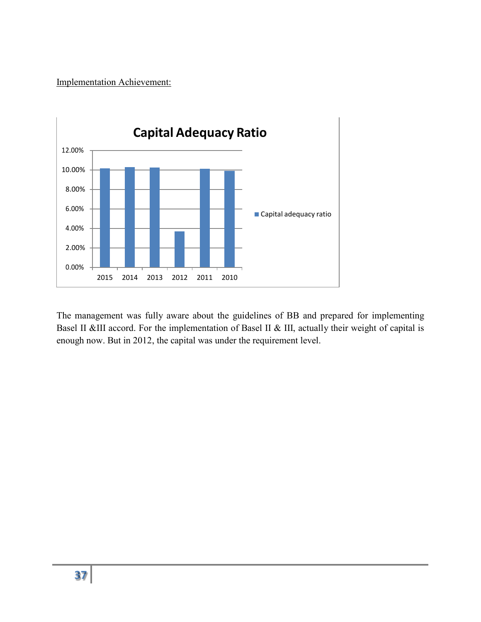Implementation Achievement:



The management was fully aware about the guidelines of BB and prepared for implementing Basel II &III accord. For the implementation of Basel II & III, actually their weight of capital is enough now. But in 2012, the capital was under the requirement level.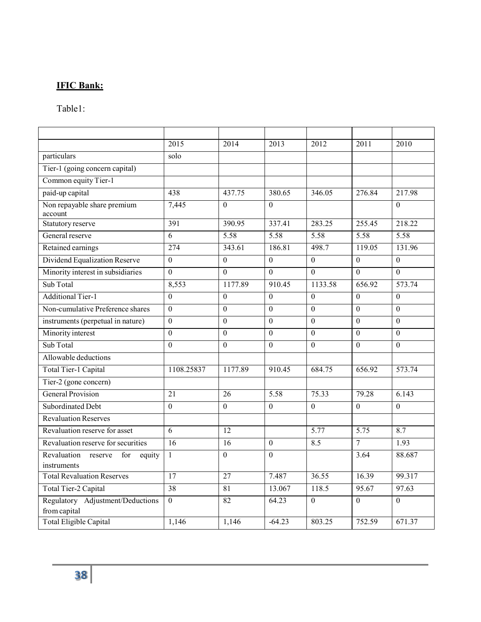# **IFIC Bank:**

### Table1:

|                                                        | 2015             | 2014              | 2013              | 2012              | $\overline{2011}$ | 2010              |
|--------------------------------------------------------|------------------|-------------------|-------------------|-------------------|-------------------|-------------------|
| particulars                                            | solo             |                   |                   |                   |                   |                   |
| Tier-1 (going concern capital)                         |                  |                   |                   |                   |                   |                   |
| Common equity Tier-1                                   |                  |                   |                   |                   |                   |                   |
| paid-up capital                                        | 438              | 437.75            | 380.65            | 346.05            | 276.84            | 217.98            |
| Non repayable share premium<br>account                 | 7,445            | $\theta$          | $\theta$          |                   |                   | $\theta$          |
| Statutory reserve                                      | 391              | 390.95            | 337.41            | 283.25            | 255.45            | 218.22            |
| General reserve                                        | 6                | $\overline{5.58}$ | $\overline{5.58}$ | $\overline{5.58}$ | $\overline{5.58}$ | $\overline{5.58}$ |
| Retained earnings                                      | 274              | 343.61            | 186.81            | 498.7             | 119.05            | 131.96            |
| Dividend Equalization Reserve                          | $\overline{0}$   | $\theta$          | $\Omega$          | $\boldsymbol{0}$  | $\overline{0}$    | $\overline{0}$    |
| Minority interest in subsidiaries                      | $\theta$         | $\Omega$          | $\Omega$          | $\Omega$          | $\Omega$          | $\Omega$          |
| Sub Total                                              | 8,553            | 1177.89           | 910.45            | 1133.58           | 656.92            | 573.74            |
| <b>Additional Tier-1</b>                               | $\overline{0}$   | $\theta$          | $\Omega$          | $\mathbf{0}$      | $\mathbf{0}$      | $\mathbf{0}$      |
| Non-cumulative Preference shares                       | $\overline{0}$   | $\mathbf{0}$      | $\overline{0}$    | $\mathbf{0}$      | $\mathbf{0}$      | $\mathbf{0}$      |
| instruments (perpetual in nature)                      | $\boldsymbol{0}$ | $\theta$          | $\theta$          | $\theta$          | $\theta$          | $\theta$          |
| Minority interest                                      | $\overline{0}$   | $\theta$          | $\overline{0}$    | $\mathbf{0}$      | $\overline{0}$    | $\overline{0}$    |
| Sub Total                                              | $\theta$         | $\theta$          | $\Omega$          | $\Omega$          | $\Omega$          | $\Omega$          |
| Allowable deductions                                   |                  |                   |                   |                   |                   |                   |
| Total Tier-1 Capital                                   | 1108.25837       | 1177.89           | 910.45            | 684.75            | 656.92            | 573.74            |
| Tier-2 (gone concern)                                  |                  |                   |                   |                   |                   |                   |
| <b>General Provision</b>                               | 21               | 26                | $\overline{5.58}$ | 75.33             | 79.28             | 6.143             |
| Subordinated Debt                                      | $\overline{0}$   | $\theta$          | $\Omega$          | $\theta$          | $\theta$          | $\boldsymbol{0}$  |
| <b>Revaluation Reserves</b>                            |                  |                   |                   |                   |                   |                   |
| Revaluation reserve for asset                          | $\overline{6}$   | 12                |                   | 5.77              | $\overline{5.75}$ | 8.7               |
| Revaluation reserve for securities                     | 16               | 16                | $\theta$          | 8.5               | $\overline{7}$    | 1.93              |
| Revaluation<br>for<br>reserve<br>equity<br>instruments | $\mathbf{1}$     | $\Omega$          | $\Omega$          |                   | 3.64              | 88.687            |
| <b>Total Revaluation Reserves</b>                      | $\overline{17}$  | $\overline{27}$   | 7.487             | 36.55             | 16.39             | 99.317            |
| Total Tier-2 Capital                                   | 38               | 81                | 13.067            | 118.5             | 95.67             | 97.63             |
| Regulatory Adjustment/Deductions<br>from capital       | $\mathbf{0}$     | 82                | 64.23             | $\mathbf{0}$      | $\boldsymbol{0}$  | $\boldsymbol{0}$  |
| Total Eligible Capital                                 | 1,146            | 1,146             | $-64.23$          | 803.25            | 752.59            | 671.37            |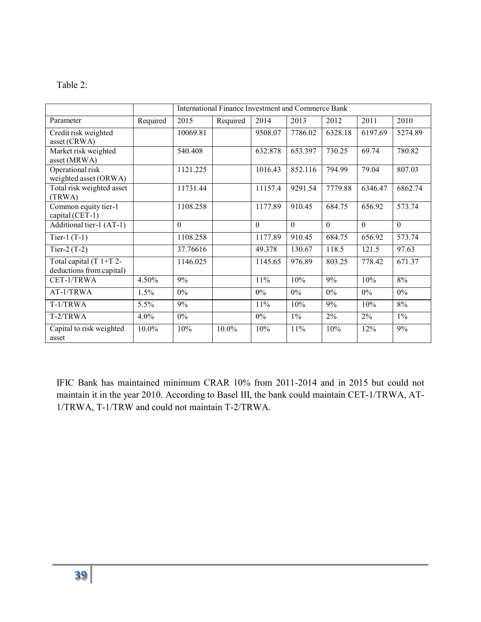| abie |  |
|------|--|
|------|--|

|                                                       |          | International Finance Investment and Commerce Bank |          |          |          |          |          |          |
|-------------------------------------------------------|----------|----------------------------------------------------|----------|----------|----------|----------|----------|----------|
| Parameter                                             | Required | 2015                                               | Required | 2014     | 2013     | 2012     | 2011     | 2010     |
| Credit risk weighted<br>asset (CRWA)                  |          | 10069.81                                           |          | 9508.07  | 7786.02  | 6328.18  | 6197.69  | 5274.89  |
| Market risk weighted<br>asset (MRWA)                  |          | 540.408                                            |          | 632.878  | 653.397  | 730.25   | 69.74    | 780.82   |
| Operational risk<br>weighted asset (ORWA)             |          | 1121.225                                           |          | 1016.43  | 852.116  | 794.99   | 79.04    | 807.03   |
| Total risk weighted asset<br>(TRWA)                   |          | 11731.44                                           |          | 11157.4  | 9291.54  | 7779.88  | 6346.47  | 6862.74  |
| Common equity tier-1<br>capital (CET-1)               |          | 1108.258                                           |          | 1177.89  | 910.45   | 684.75   | 656.92   | 573.74   |
| Additional tier-1 (AT-1)                              |          | $\Omega$                                           |          | $\Omega$ | $\Omega$ | $\Omega$ | $\Omega$ | $\theta$ |
| Tier-1 $(T-1)$                                        |          | 1108.258                                           |          | 1177.89  | 910.45   | 684.75   | 656.92   | 573.74   |
| Tier-2 $(T-2)$                                        |          | 37.76616                                           |          | 49.378   | 130.67   | 118.5    | 121.5    | 97.63    |
| Total capital (T $1+T$ 2-<br>deductions from capital) |          | 1146.025                                           |          | 1145.65  | 976.89   | 803.25   | 778.42   | 671.37   |
| CET-1/TRWA                                            | 4.50%    | 9%                                                 |          | 11%      | 10%      | 9%       | 10%      | 8%       |
| AT-1/TRWA                                             | 1.5%     | $0\%$                                              |          | $0\%$    | $0\%$    | $0\%$    | $0\%$    | $0\%$    |
| T-1/TRWA                                              | 5.5%     | 9%                                                 |          | 11%      | 10%      | 9%       | 10%      | 8%       |
| T-2/TRWA                                              | 4.0%     | $0\%$                                              |          | $0\%$    | $1\%$    | 2%       | $2\%$    | $1\%$    |
| Capital to risk weighted<br>asset                     | 10.0%    | 10%                                                | 10.0%    | 10%      | 11%      | 10%      | 12%      | 9%       |

IFIC Bank has maintained minimum CRAR 10% from 2011-2014 and in 2015 but could not maintain it in the year 2010. According to Basel III, the bank could maintain CET-1/TRWA, AT-1/TRWA, T-1/TRW and could not maintain T-2/TRWA.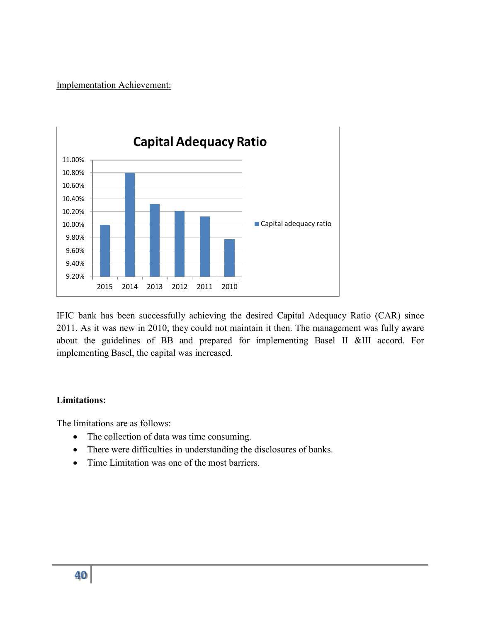Implementation Achievement:



IFIC bank has been successfully achieving the desired Capital Adequacy Ratio (CAR) since 2011. As it was new in 2010, they could not maintain it then. The management was fully aware about the guidelines of BB and prepared for implementing Basel II &III accord. For implementing Basel, the capital was increased.

#### **Limitations:**

The limitations are as follows:

- The collection of data was time consuming.
- There were difficulties in understanding the disclosures of banks.
- Time Limitation was one of the most barriers.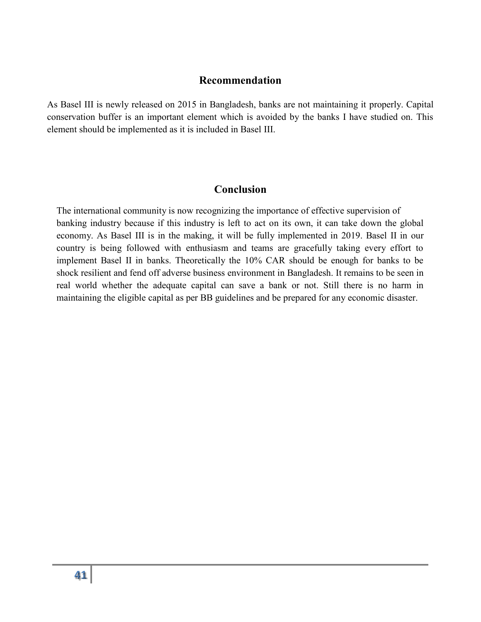#### **Recommendation**

As Basel III is newly released on 2015 in Bangladesh, banks are not maintaining it properly. Capital conservation buffer is an important element which is avoided by the banks I have studied on. This element should be implemented as it is included in Basel III.

#### **Conclusion**

The international community is now recognizing the importance of effective supervision of banking industry because if this industry is left to act on its own, it can take down the global economy. As Basel III is in the making, it will be fully implemented in 2019. Basel II in our country is being followed with enthusiasm and teams are gracefully taking every effort to implement Basel II in banks. Theoretically the 10% CAR should be enough for banks to be shock resilient and fend off adverse business environment in Bangladesh. It remains to be seen in real world whether the adequate capital can save a bank or not. Still there is no harm in maintaining the eligible capital as per BB guidelines and be prepared for any economic disaster.